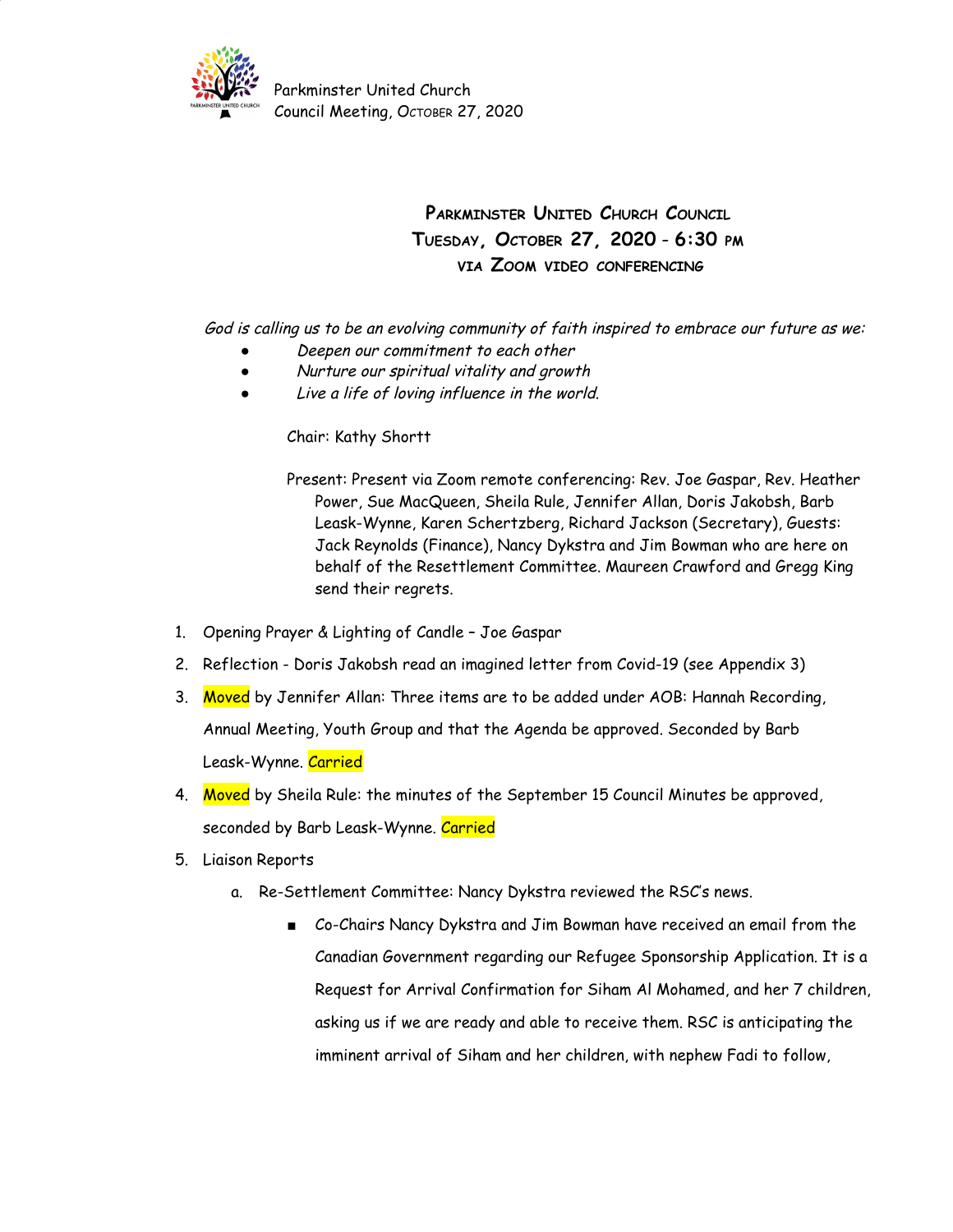

## **PARKMINSTER UNITED CHURCH COUNCIL TUESDAY, OCTOBER 27, 2020** - **6:30 PM VIA ZOOM VIDEO CONFERENCING**

God is calling us to be an evolving community of faith inspired to embrace our future as we:

- Deepen our commitment to each other
- Nurture our spiritual vitality and growth
- Live a life of loving influence in the world.

Chair: Kathy Shortt

Present: Present via Zoom remote conferencing: Rev. Joe Gaspar, Rev. Heather Power, Sue MacQueen, Sheila Rule, Jennifer Allan, Doris Jakobsh, Barb Leask-Wynne, Karen Schertzberg, Richard Jackson (Secretary), Guests: Jack Reynolds (Finance), Nancy Dykstra and Jim Bowman who are here on behalf of the Resettlement Committee. Maureen Crawford and Gregg King send their regrets.

- 1. Opening Prayer & Lighting of Candle Joe Gaspar
- 2. Reflection Doris Jakobsh read an imagined letter from Covid-19 (see Appendix 3)
- 3. Moved by Jennifer Allan: Three items are to be added under AOB: Hannah Recording, Annual Meeting, Youth Group and that the Agenda be approved. Seconded by Barb Leask-Wynne. Carried
- 4. Moved by Sheila Rule: the minutes of the September 15 Council Minutes be approved, seconded by Barb Leask-Wynne. Carried
- 5. Liaison Reports
	- a. Re-Settlement Committee: Nancy Dykstra reviewed the RSC's news.
		- Co-Chairs Nancy Dykstra and Jim Bowman have received an email from the Canadian Government regarding our Refugee Sponsorship Application. It is a Request for Arrival Confirmation for Siham Al Mohamed, and her 7 children, asking us if we are ready and able to receive them. RSC is anticipating the imminent arrival of Siham and her children, with nephew Fadi to follow,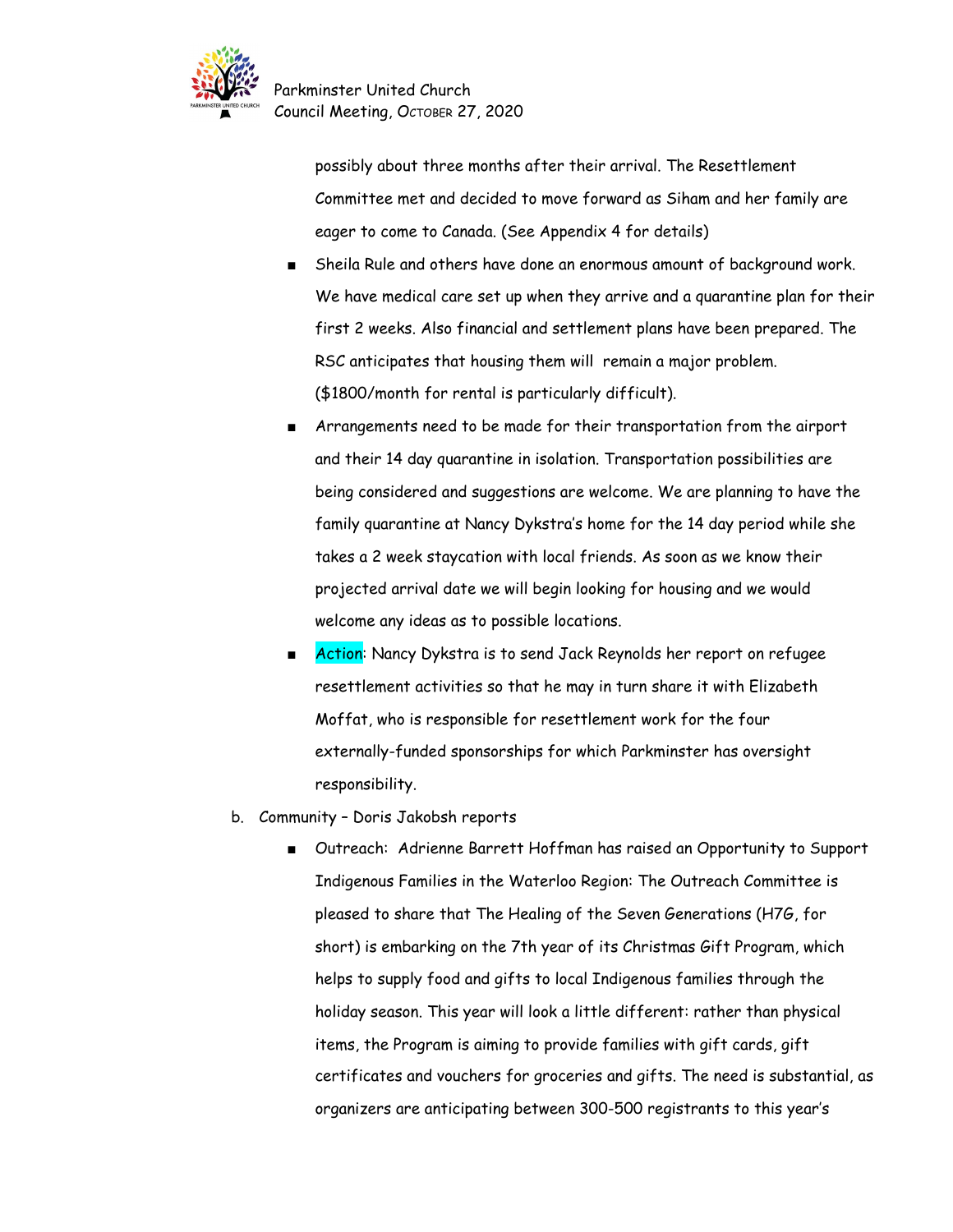

> possibly about three months after their arrival. The Resettlement Committee met and decided to move forward as Siham and her family are eager to come to Canada. (See Appendix 4 for details)

- Sheila Rule and others have done an enormous amount of background work. We have medical care set up when they arrive and a quarantine plan for their first 2 weeks. Also financial and settlement plans have been prepared. The RSC anticipates that housing them will remain a major problem. (\$1800/month for rental is particularly difficult).
- Arrangements need to be made for their transportation from the airport and their 14 day quarantine in isolation. Transportation possibilities are being considered and suggestions are welcome. We are planning to have the family quarantine at Nancy Dykstra's home for the 14 day period while she takes a 2 week staycation with local friends. As soon as we know their projected arrival date we will begin looking for housing and we would welcome any ideas as to possible locations.
- Action: Nancy Dykstra is to send Jack Reynolds her report on refugee resettlement activities so that he may in turn share it with Elizabeth Moffat, who is responsible for resettlement work for the four externally-funded sponsorships for which Parkminster has oversight responsibility.
- b. Community Doris Jakobsh reports
	- Outreach: Adrienne Barrett Hoffman has raised an Opportunity to Support Indigenous Families in the Waterloo Region: The Outreach Committee is pleased to share that The Healing of the Seven [Generations](https://healingofthesevengenerations.ca/) (H7G, for short) is embarking on the 7th year of its Christmas Gift Program, which helps to supply food and gifts to local Indigenous families through the holiday season. This year will look a little different: rather than physical items, the Program is aiming to provide families with gift cards, gift certificates and vouchers for groceries and gifts. The need is substantial, as organizers are anticipating between 300-500 registrants to this year's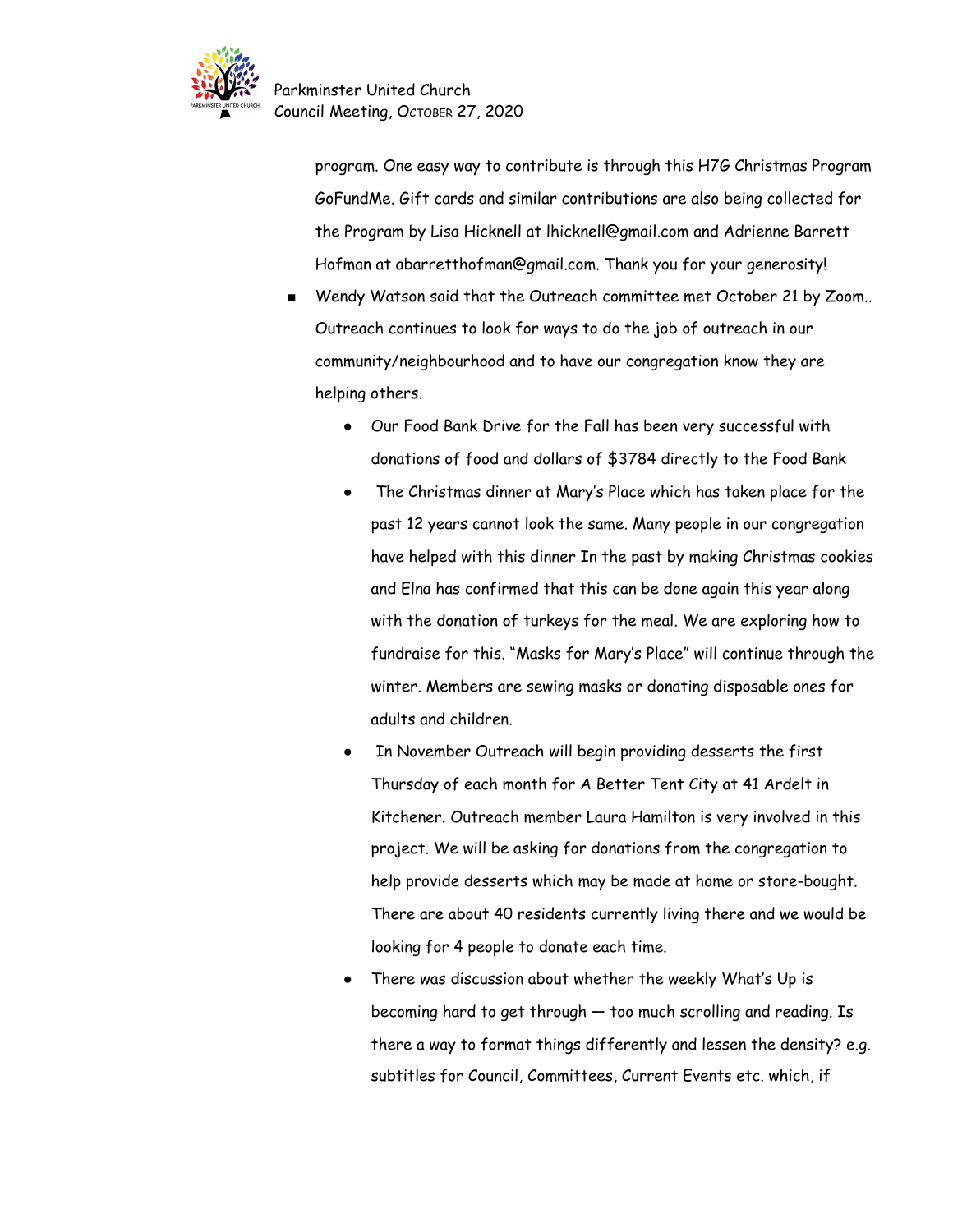

> program. One easy way to contribute is through this H7G [Christmas](https://www.gofundme.com/f/q785qw-christmas-gift-program) Program [GoFundMe](https://www.gofundme.com/f/q785qw-christmas-gift-program). Gift cards and similar contributions are also being collected for the Program by Lisa Hicknell at lhicknell@gmail.com and Adrienne Barrett Hofman at abarretthofman@gmail.com. Thank you for your generosity!

- Wendy Watson said that the Outreach committee met October 21 by Zoom.. Outreach continues to look for ways to do the job of outreach in our community/neighbourhood and to have our congregation know they are helping others.
	- Our Food Bank Drive for the Fall has been very successful with donations of food and dollars of \$3784 directly to the Food Bank
	- The Christmas dinner at Mary's Place which has taken place for the past 12 years cannot look the same. Many people in our congregation have helped with this dinner In the past by making Christmas cookies and Elna has confirmed that this can be done again this year along with the donation of turkeys for the meal. We are exploring how to fundraise for this. "Masks for Mary's Place" will continue through the winter. Members are sewing masks or donating disposable ones for adults and children.
	- In November Outreach will begin providing desserts the first Thursday of each month for A Better Tent City at 41 Ardelt in Kitchener. Outreach member Laura Hamilton is very involved in this project. We will be asking for donations from the congregation to help provide desserts which may be made at home or store-bought. There are about 40 residents currently living there and we would be looking for 4 people to donate each time.
	- There was discussion about whether the weekly What's Up is becoming hard to get through — too much scrolling and reading. Is there a way to format things differently and lessen the density? e.g. subtitles for Council, Committees, Current Events etc. which, if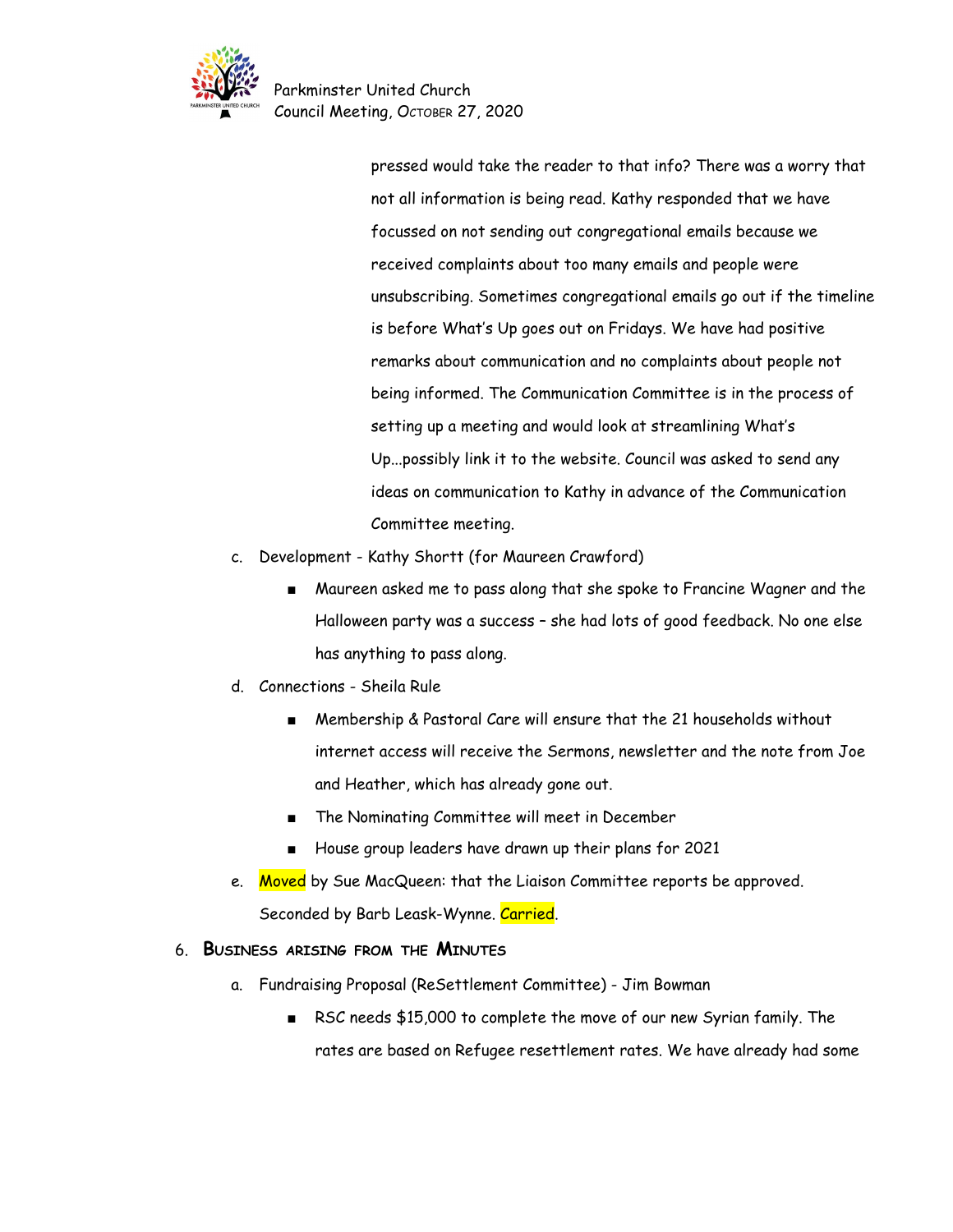

> pressed would take the reader to that info? There was a worry that not all information is being read. Kathy responded that we have focussed on not sending out congregational emails because we received complaints about too many emails and people were unsubscribing. Sometimes congregational emails go out if the timeline is before What's Up goes out on Fridays. We have had positive remarks about communication and no complaints about people not being informed. The Communication Committee is in the process of setting up a meeting and would look at streamlining What's Up...possibly link it to the website. Council was asked to send any ideas on communication to Kathy in advance of the Communication Committee meeting.

- c. Development Kathy Shortt (for Maureen Crawford)
	- Maureen asked me to pass along that she spoke to Francine Wagner and the Halloween party was a success – she had lots of good feedback. No one else has anything to pass along.
- d. Connections Sheila Rule
	- Membership & Pastoral Care will ensure that the 21 households without internet access will receive the Sermons, newsletter and the note from Joe and Heather, which has already gone out.
	- The Nominating Committee will meet in December
	- House group leaders have drawn up their plans for 2021
- e. Moved by Sue MacQueen: that the Liaison Committee reports be approved. Seconded by Barb Leask-Wynne. Carried.

### 6. **BUSINESS ARISING FROM THE MINUTES**

- a. Fundraising Proposal (ReSettlement Committee) Jim Bowman
	- RSC needs \$15,000 to complete the move of our new Syrian family. The rates are based on Refugee resettlement rates. We have already had some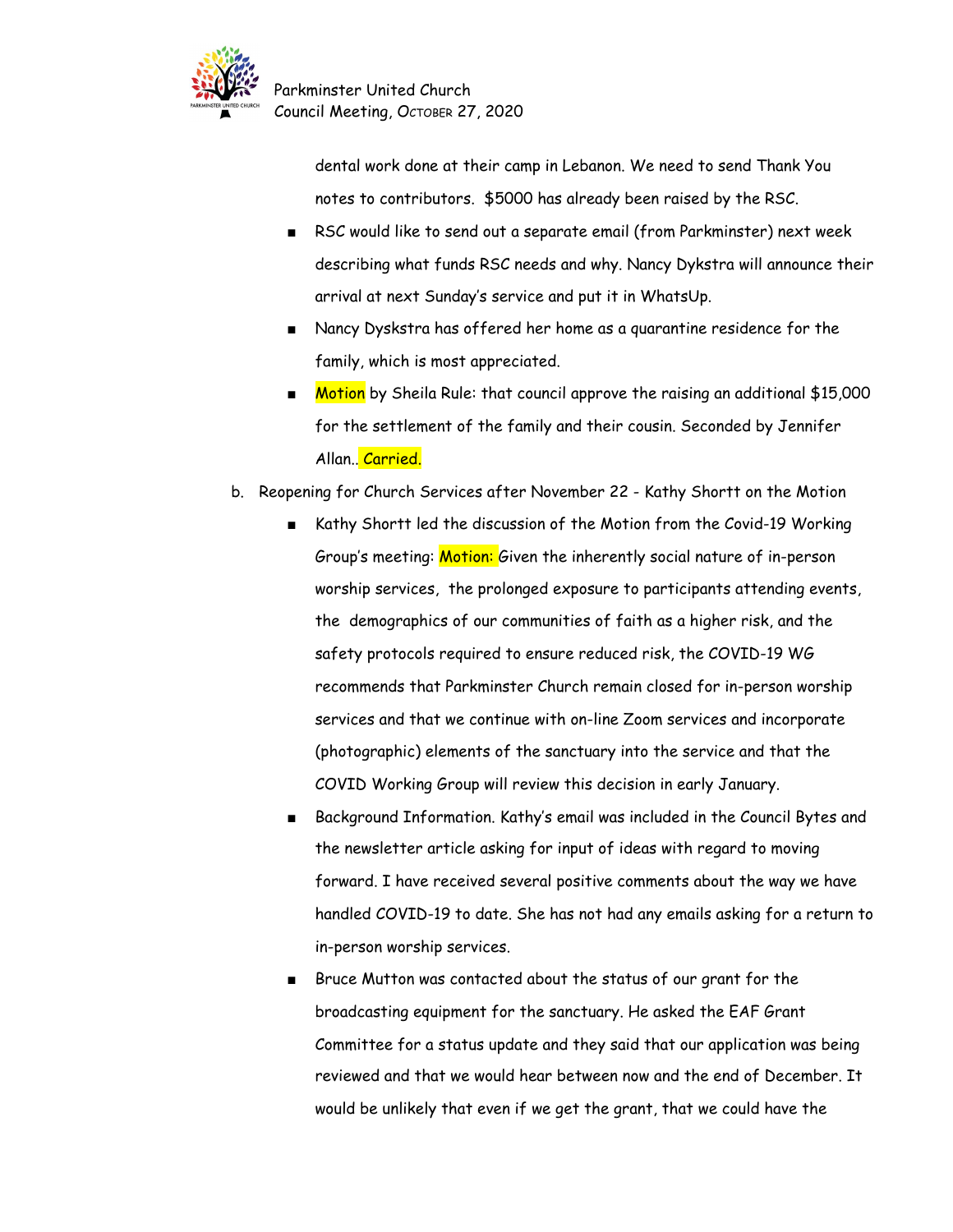

> dental work done at their camp in Lebanon. We need to send Thank You notes to contributors. \$5000 has already been raised by the RSC.

- RSC would like to send out a separate email (from Parkminster) next week describing what funds RSC needs and why. Nancy Dykstra will announce their arrival at next Sunday's service and put it in WhatsUp.
- Nancy Dyskstra has offered her home as a quarantine residence for the family, which is most appreciated.
- Motion by Sheila Rule: that council approve the raising an additional \$15,000 for the settlement of the family and their cousin. Seconded by Jennifer Allan.. Carried.
- b. Reopening for Church Services after November 22 Kathy Shortt on the Motion
	- Kathy Shortt led the discussion of the Motion from the Covid-19 Working Group's meeting: Motion: Given the inherently social nature of in-person worship services, the prolonged exposure to participants attending events, the demographics of our communities of faith as a higher risk, and the safety protocols required to ensure reduced risk, the COVID-19 WG recommends that Parkminster Church remain closed for in-person worship services and that we continue with on-line Zoom services and incorporate (photographic) elements of the sanctuary into the service and that the COVID Working Group will review this decision in early January.
	- Background Information. Kathy's email was included in the Council Bytes and the newsletter article asking for input of ideas with regard to moving forward. I have received several positive comments about the way we have handled COVID-19 to date. She has not had any emails asking for a return to in-person worship services.
	- Bruce Mutton was contacted about the status of our grant for the broadcasting equipment for the sanctuary. He asked the EAF Grant Committee for a status update and they said that our application was being reviewed and that we would hear between now and the end of December. It would be unlikely that even if we get the grant, that we could have the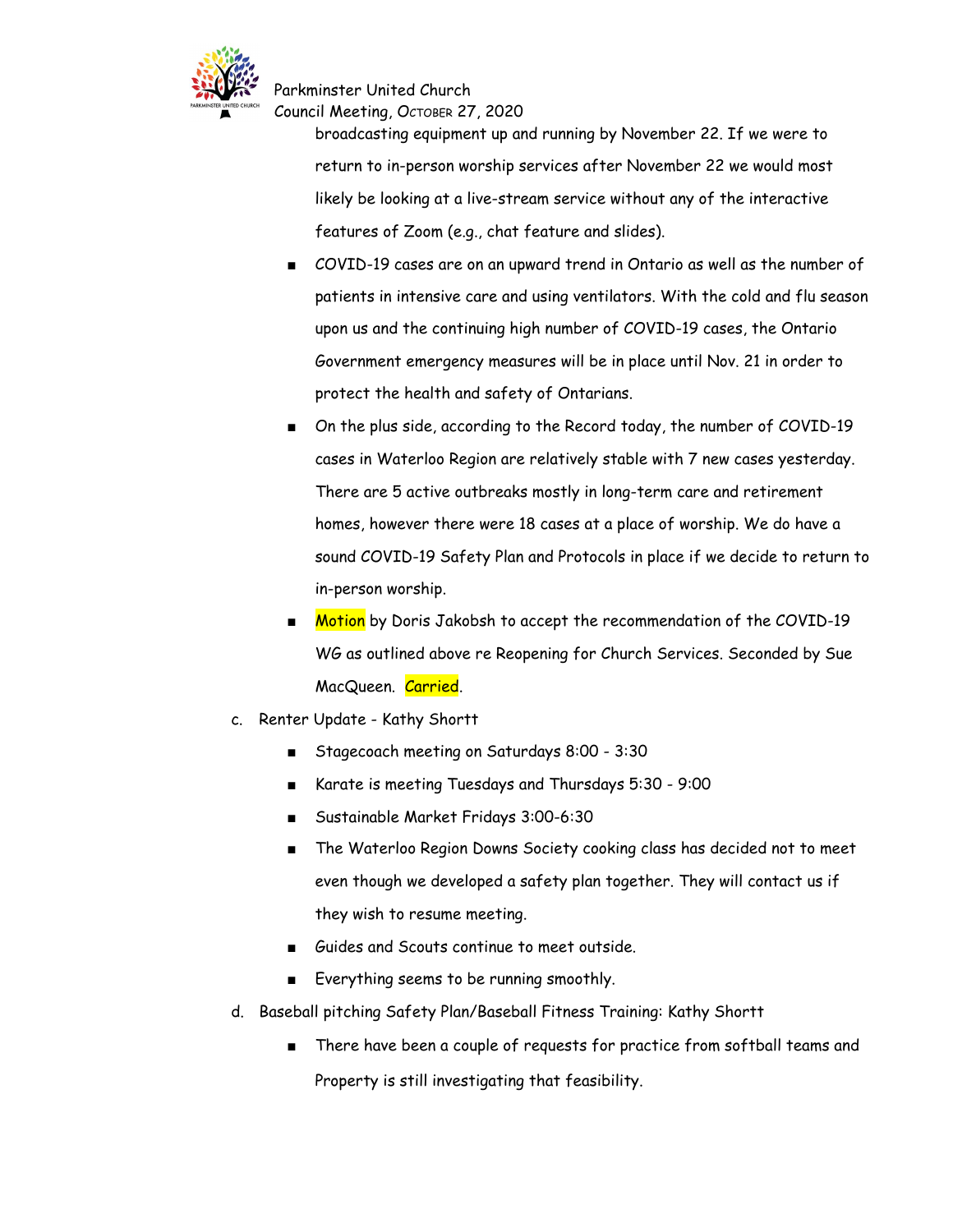

Council Meeting, OCTOBER 27, 2020

broadcasting equipment up and running by November 22. If we were to return to in-person worship services after November 22 we would most likely be looking at a live-stream service without any of the interactive features of Zoom (e.g., chat feature and slides).

- COVID-19 cases are on an upward trend in Ontario as well as the number of patients in intensive care and using ventilators. With the cold and flu season upon us and the continuing high number of COVID-19 cases, the Ontario Government emergency measures will be in place until Nov. 21 in order to protect the health and safety of Ontarians.
- On the plus side, according to the Record today, the number of COVID-19 cases in Waterloo Region are relatively stable with 7 new cases yesterday. There are 5 active outbreaks mostly in long-term care and retirement homes, however there were 18 cases at a place of worship. We do have a sound COVID-19 Safety Plan and Protocols in place if we decide to return to in-person worship.
- Motion by Doris Jakobsh to accept the recommendation of the COVID-19 WG as outlined above re Reopening for Church Services. Seconded by Sue MacQueen. Carried.
- c. Renter Update Kathy Shortt
	- Stagecoach meeting on Saturdays 8:00 3:30
	- Karate is meeting Tuesdays and Thursdays 5:30 9:00
	- Sustainable Market Fridays 3:00-6:30
	- The Waterloo Region Downs Society cooking class has decided not to meet even though we developed a safety plan together. They will contact us if they wish to resume meeting.
	- Guides and Scouts continue to meet outside.
	- Everything seems to be running smoothly.
- d. Baseball pitching Safety Plan/Baseball Fitness Training: Kathy Shortt
	- There have been a couple of requests for practice from softball teams and Property is still investigating that feasibility.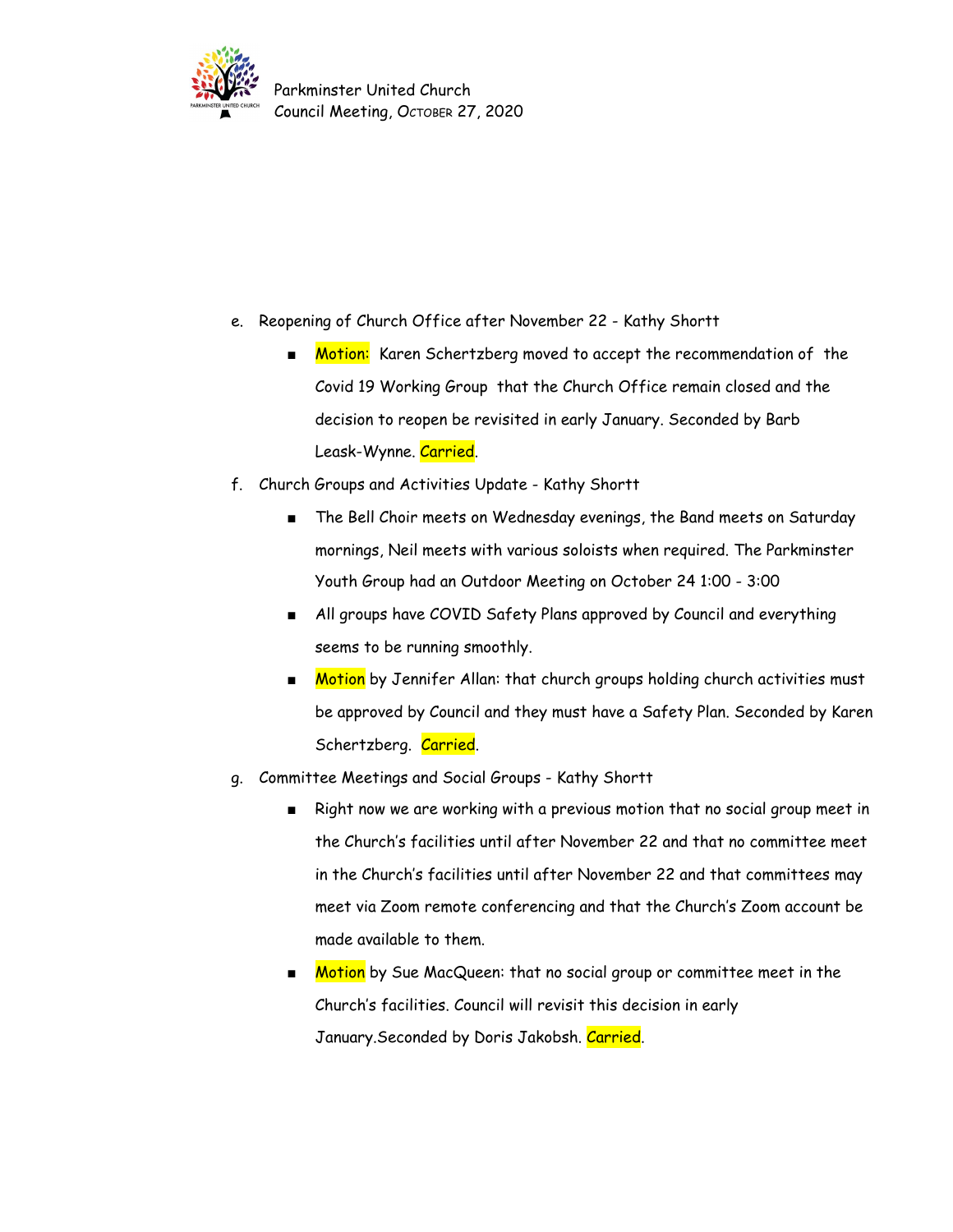

- e. Reopening of Church Office after November 22 Kathy Shortt
	- Motion: Karen Schertzberg moved to accept the recommendation of the Covid 19 Working Group that the Church Office remain closed and the decision to reopen be revisited in early January. Seconded by Barb Leask-Wynne. Carried.
- f. Church Groups and Activities Update Kathy Shortt
	- The Bell Choir meets on Wednesday evenings, the Band meets on Saturday mornings, Neil meets with various soloists when required. The Parkminster Youth Group had an Outdoor Meeting on October 24 1:00 - 3:00
	- All groups have COVID Safety Plans approved by Council and everything seems to be running smoothly.
	- Motion by Jennifer Allan: that church groups holding church activities must be approved by Council and they must have a Safety Plan. Seconded by Karen Schertzberg. Carried.
- g. Committee Meetings and Social Groups Kathy Shortt
	- Right now we are working with a previous motion that no social group meet in the Church's facilities until after November 22 and that no committee meet in the Church's facilities until after November 22 and that committees may meet via Zoom remote conferencing and that the Church's Zoom account be made available to them.
	- Motion by Sue MacQueen: that no social group or committee meet in the Church's facilities. Council will revisit this decision in early January.Seconded by Doris Jakobsh. Carried.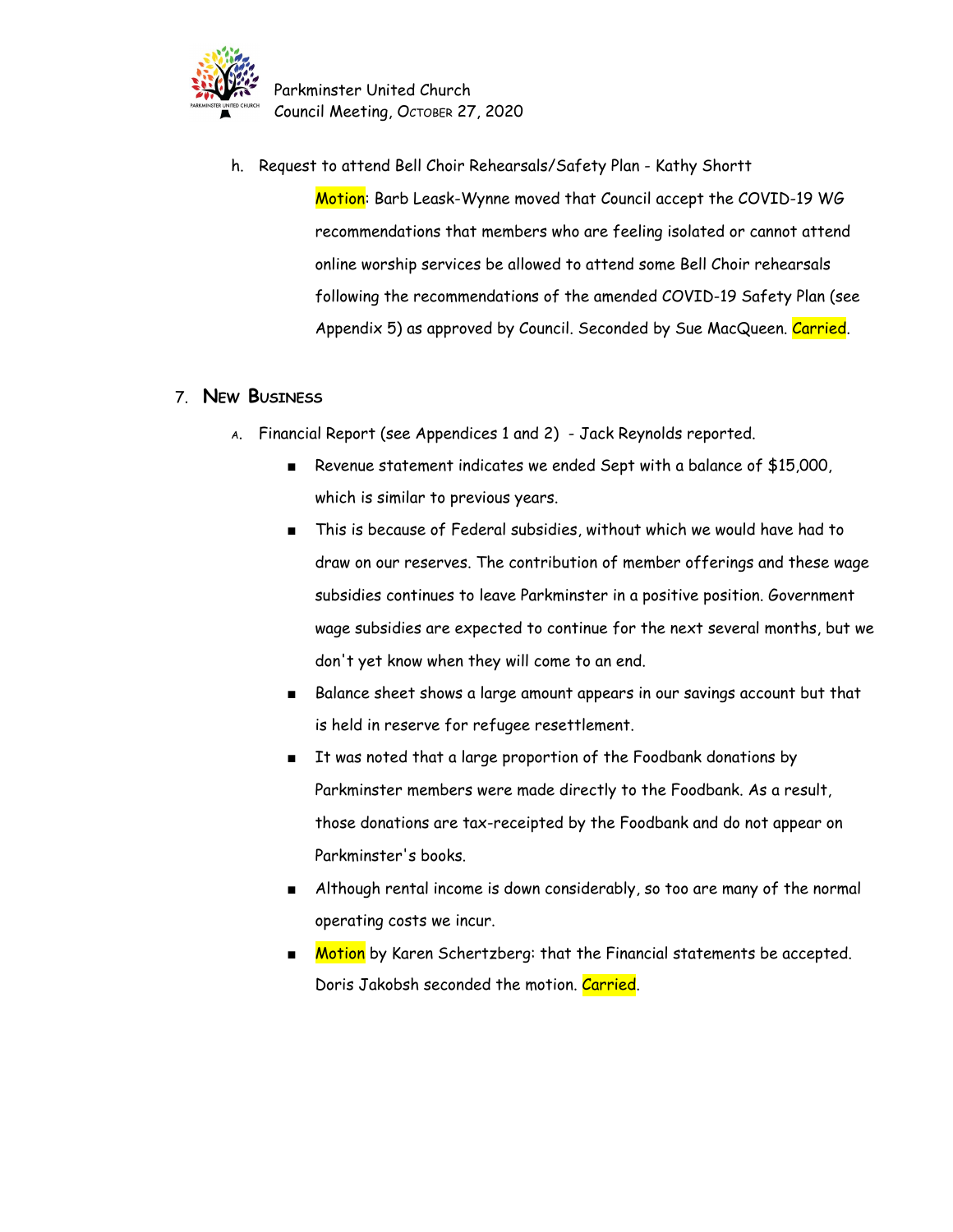

h. Request to attend Bell Choir Rehearsals/Safety Plan - Kathy Shortt

Motion: Barb Leask-Wynne moved that Council accept the COVID-19 WG recommendations that members who are feeling isolated or cannot attend online worship services be allowed to attend some Bell Choir rehearsals following the recommendations of the amended COVID-19 Safety Plan (see Appendix 5) as approved by Council. Seconded by Sue MacQueen. Carried.

### 7. **NEW BUSINESS**

- <sup>A</sup>. Financial Report (see Appendices 1 and 2) Jack Reynolds reported.
	- Revenue statement indicates we ended Sept with a balance of \$15,000, which is similar to previous years.
	- This is because of Federal subsidies, without which we would have had to draw on our reserves. The contribution of member offerings and these wage subsidies continues to leave Parkminster in a positive position. Government wage subsidies are expected to continue for the next several months, but we don't yet know when they will come to an end.
	- Balance sheet shows a large amount appears in our savings account but that is held in reserve for refugee resettlement.
	- It was noted that a large proportion of the Foodbank donations by Parkminster members were made directly to the Foodbank. As a result, those donations are tax-receipted by the Foodbank and do not appear on Parkminster's books.
	- Although rental income is down considerably, so too are many of the normal operating costs we incur.
	- Motion by Karen Schertzberg: that the Financial statements be accepted. Doris Jakobsh seconded the motion. Carried.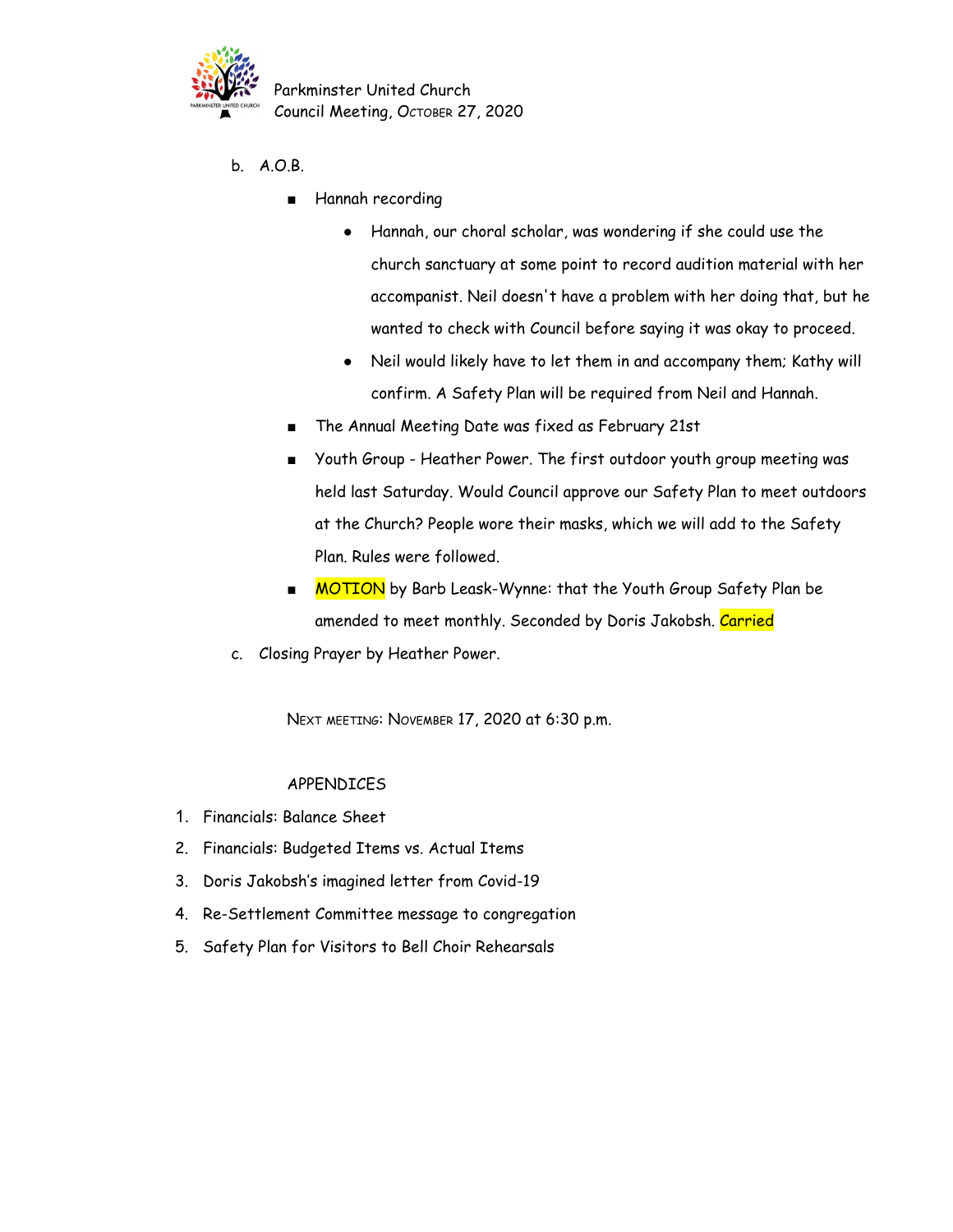

- b. A.O.B.
	- Hannah recording
		- Hannah, our choral scholar, was wondering if she could use the church sanctuary at some point to record audition material with her accompanist. Neil doesn't have a problem with her doing that, but he wanted to check with Council before saying it was okay to proceed.
		- Neil would likely have to let them in and accompany them; Kathy will confirm. A Safety Plan will be required from Neil and Hannah.
	- The Annual Meeting Date was fixed as February 21st
	- Youth Group Heather Power. The first outdoor youth group meeting was held last Saturday. Would Council approve our Safety Plan to meet outdoors at the Church? People wore their masks, which we will add to the Safety Plan. Rules were followed.
	- MOTION by Barb Leask-Wynne: that the Youth Group Safety Plan be amended to meet monthly. Seconded by Doris Jakobsh. Carried
- c. Closing Prayer by Heather Power.

NEXT MEETING: NOVEMBER 17, 2020 at 6:30 p.m.

### APPENDICES

- 1. Financials: Balance Sheet
- 2. Financials: Budgeted Items vs. Actual Items
- 3. Doris Jakobsh's imagined letter from Covid-19
- 4. Re-Settlement Committee message to congregation
- 5. Safety Plan for Visitors to Bell Choir Rehearsals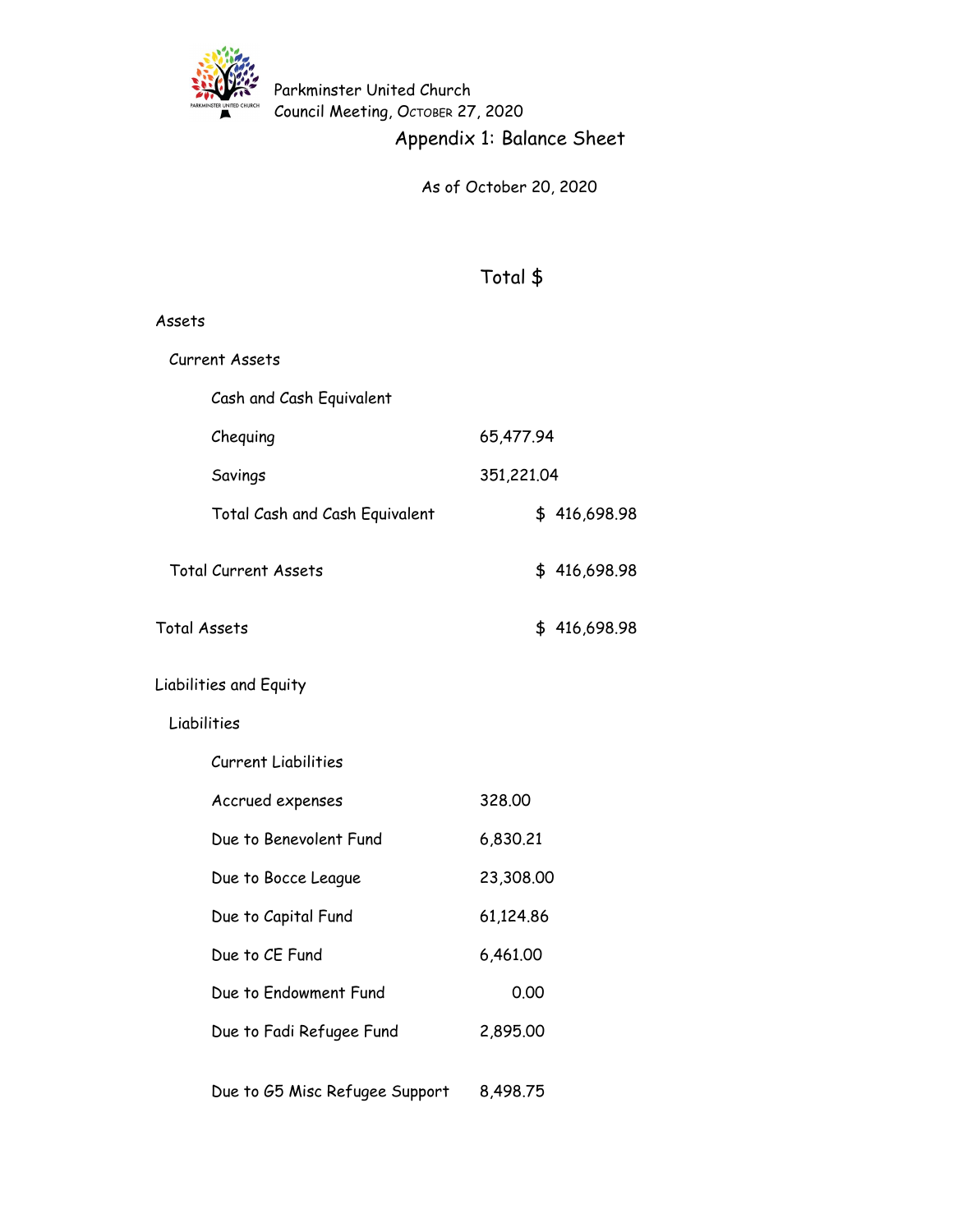

Assets

Parkminster United Church Council Meeting, OCTOBER 27, 2020

# Appendix 1: Balance Sheet

As of October 20, 2020

# Total \$

| Current Assets                 |              |  |  |  |  |
|--------------------------------|--------------|--|--|--|--|
| Cash and Cash Equivalent       |              |  |  |  |  |
| Chequing                       | 65,477.94    |  |  |  |  |
| Savings                        | 351,221.04   |  |  |  |  |
| Total Cash and Cash Equivalent | \$416,698.98 |  |  |  |  |
| <b>Total Current Assets</b>    | \$416,698.98 |  |  |  |  |
| <b>Total Assets</b>            | \$416,698.98 |  |  |  |  |
| Liabilities and Equity         |              |  |  |  |  |
| Liabilities                    |              |  |  |  |  |
| <b>Current Liabilities</b>     |              |  |  |  |  |
| Accrued expenses               | 328,00       |  |  |  |  |
| Due to Benevolent Fund         | 6,830.21     |  |  |  |  |
| Due to Bocce League            | 23,308.00    |  |  |  |  |
| Due to Capital Fund            | 61,124.86    |  |  |  |  |
| Due to CE Fund                 | 6,461.00     |  |  |  |  |
| Due to Endowment Fund          | 0.00         |  |  |  |  |
| Due to Fadi Refugee Fund       | 2,895.00     |  |  |  |  |
| Due to G5 Misc Refugee Support | 8,498.75     |  |  |  |  |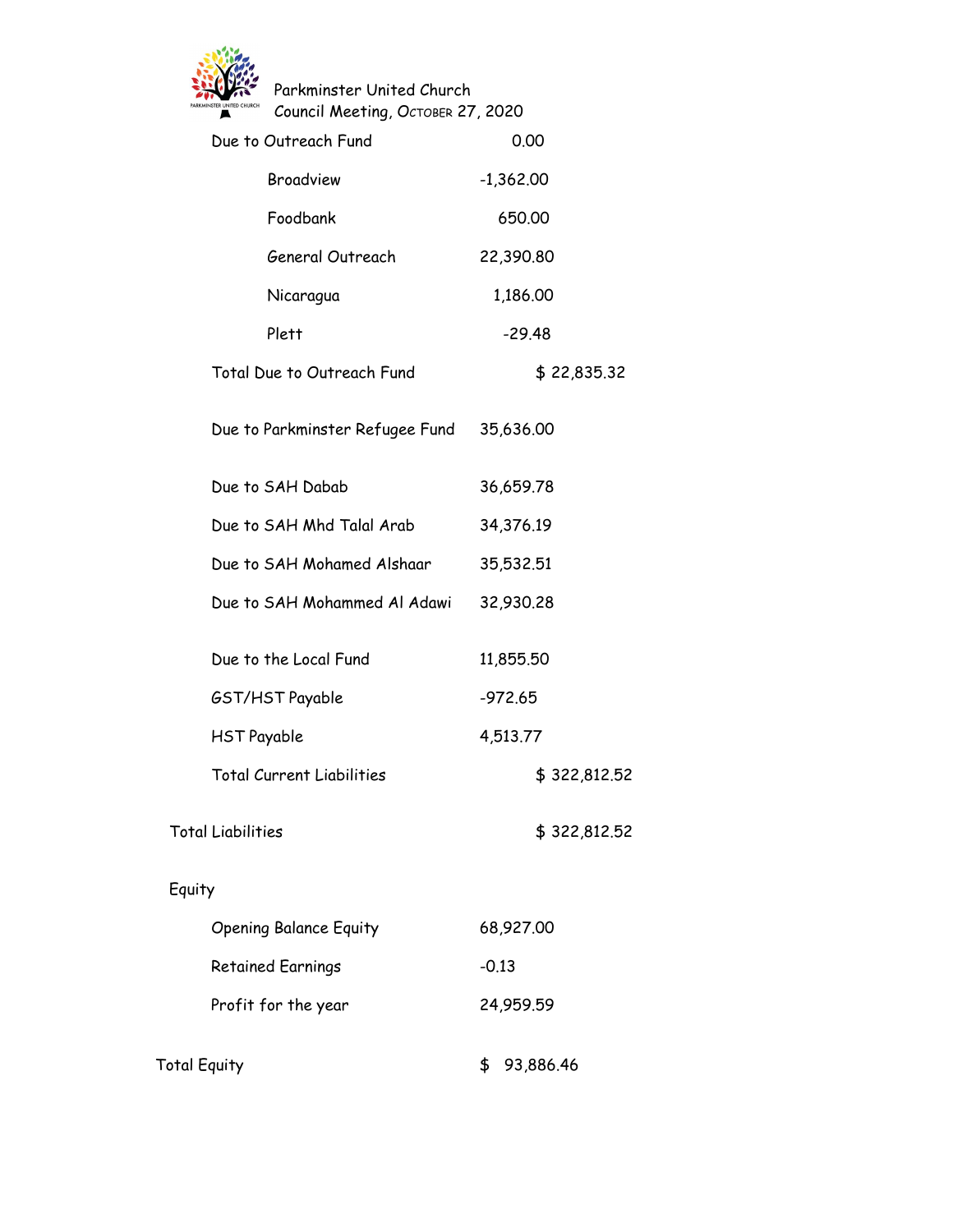| PARKMINSTER UNITED CHURCH |
|---------------------------|
|                           |

| <b><i>PAKKMINSTEK UNITED CHUKCH</i></b><br>Council Meeting, OCTOBER 27, 2020 |                 |  |  |  |
|------------------------------------------------------------------------------|-----------------|--|--|--|
| Due to Outreach Fund                                                         | 0.00            |  |  |  |
| Broadview                                                                    | $-1,362.00$     |  |  |  |
| Foodbank                                                                     | 650.00          |  |  |  |
| General Outreach                                                             | 22,390.80       |  |  |  |
| Nicaragua                                                                    | 1,186.00        |  |  |  |
| Plett                                                                        | $-29.48$        |  |  |  |
| Total Due to Outreach Fund                                                   | \$22,835.32     |  |  |  |
| Due to Parkminster Refugee Fund                                              | 35,636.00       |  |  |  |
| Due to SAH Dabab                                                             | 36,659.78       |  |  |  |
| Due to SAH Mhd Talal Arab                                                    | 34,376.19       |  |  |  |
| Due to SAH Mohamed Alshaar                                                   | 35,532.51       |  |  |  |
| Due to SAH Mohammed Al Adawi                                                 | 32,930.28       |  |  |  |
| Due to the Local Fund                                                        | 11,855.50       |  |  |  |
| GST/HST Payable                                                              | $-972.65$       |  |  |  |
| <b>HST</b> Payable                                                           | 4,513.77        |  |  |  |
| <b>Total Current Liabilities</b>                                             | \$322,812.52    |  |  |  |
| <b>Total Liabilities</b>                                                     | \$322,812.52    |  |  |  |
| Equity                                                                       |                 |  |  |  |
| <b>Opening Balance Equity</b>                                                | 68,927.00       |  |  |  |
| <b>Retained Earnings</b>                                                     | $-0.13$         |  |  |  |
| Profit for the year                                                          | 24,959.59       |  |  |  |
| <b>Total Equity</b>                                                          | 93,886.46<br>\$ |  |  |  |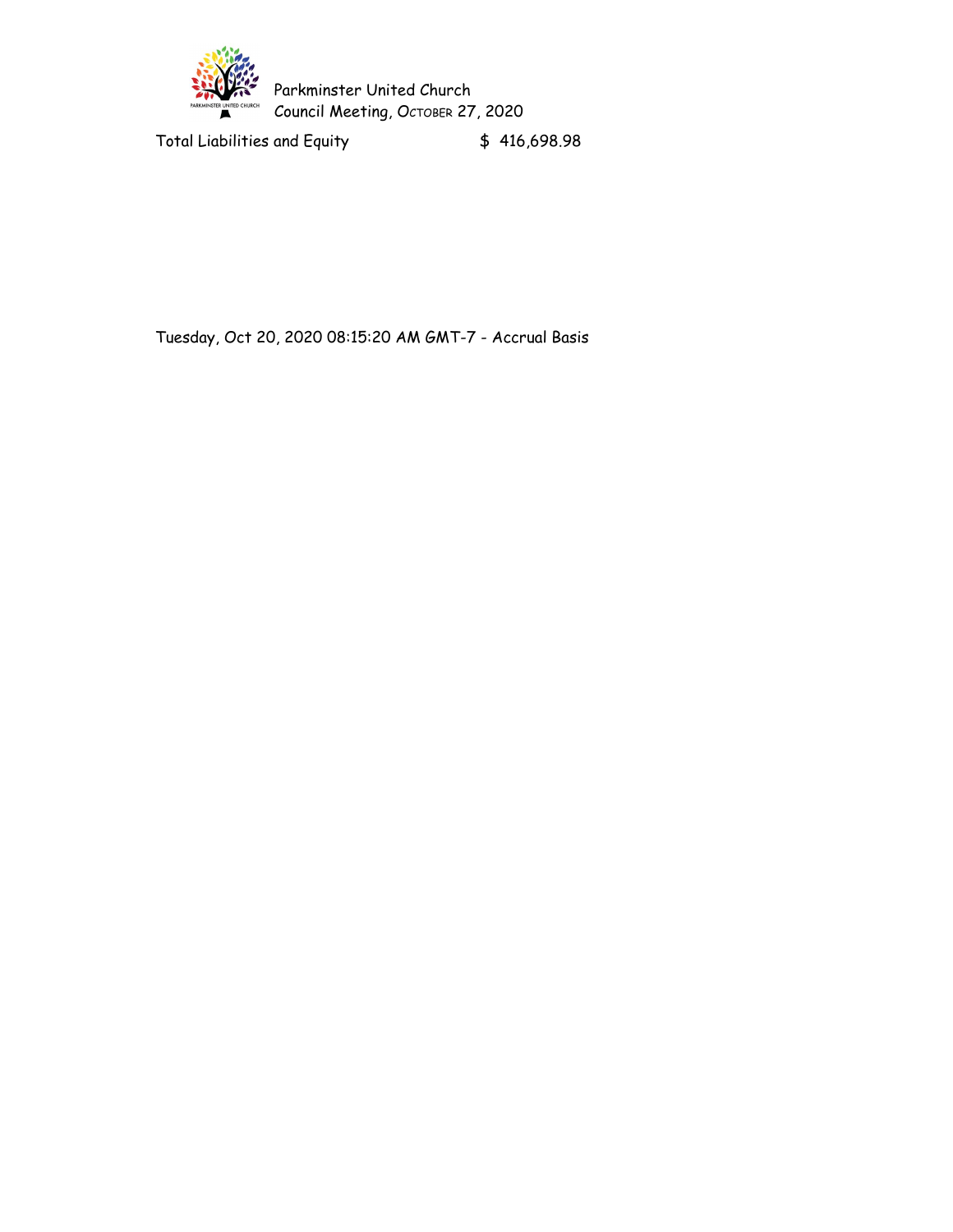

Total Liabilities and Equity \$ 416,698.98

Tuesday, Oct 20, 2020 08:15:20 AM GMT-7 - Accrual Basis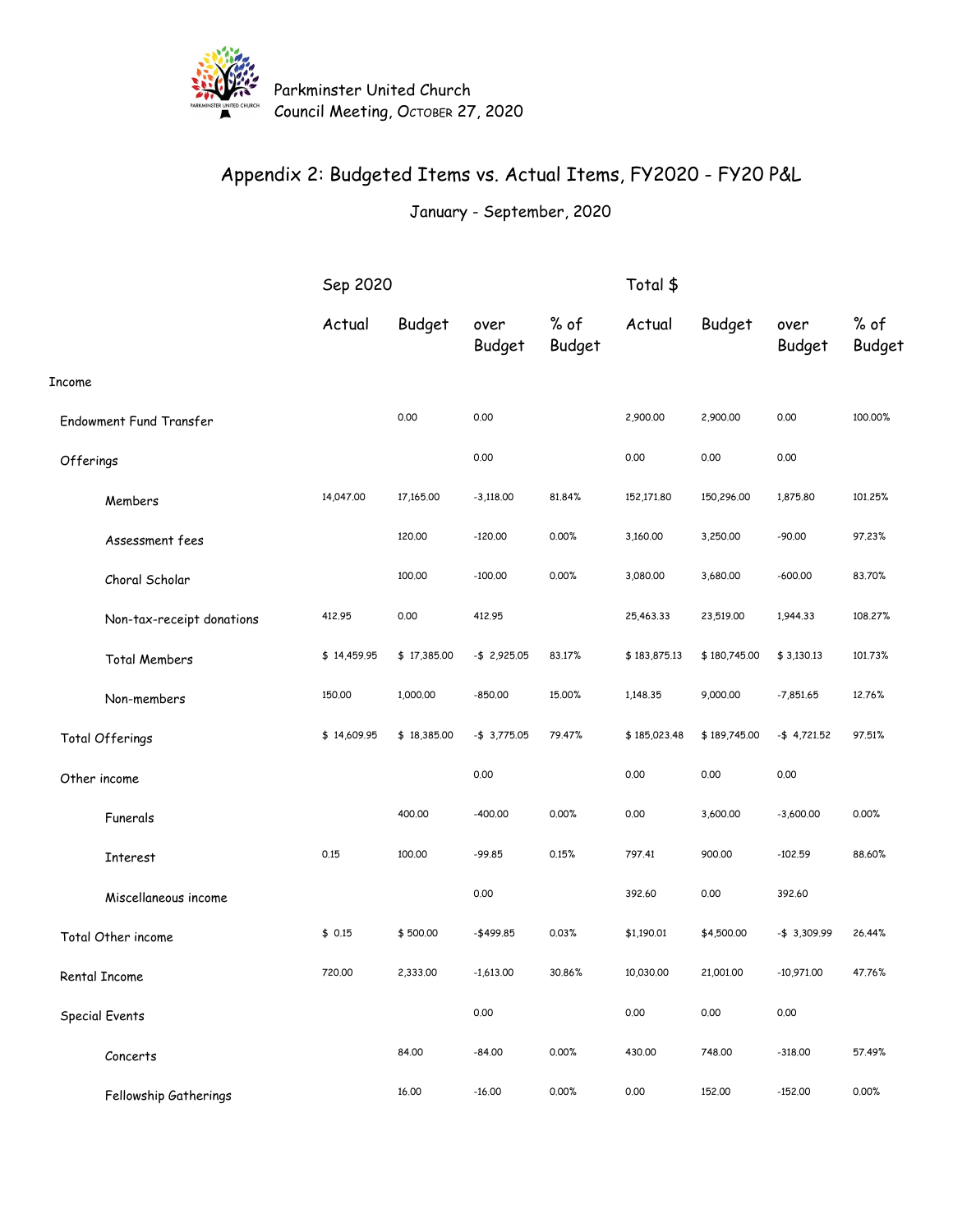

# Appendix 2: Budgeted Items vs. Actual Items, FY2020 - FY20 P&L

## January - September, 2020

|               |                           | Sep 2020    |             |                       |                       | Total \$     |               |                       |                       |
|---------------|---------------------------|-------------|-------------|-----------------------|-----------------------|--------------|---------------|-----------------------|-----------------------|
|               |                           | Actual      | Budget      | over<br><b>Budget</b> | % of<br><b>Budget</b> | Actual       | <b>Budget</b> | over<br><b>Budget</b> | % of<br><b>Budget</b> |
| <b>Income</b> |                           |             |             |                       |                       |              |               |                       |                       |
|               | Endowment Fund Transfer   |             | 0.00        | 0.00                  |                       | 2,900.00     | 2,900.00      | 0.00                  | 100.00%               |
| Offerings     |                           |             |             | 0.00                  |                       | 0.00         | 0.00          | 0.00                  |                       |
|               | Members                   | 14,047.00   | 17,165.00   | $-3,118,00$           | 81.84%                | 152,171.80   | 150,296.00    | 1,875.80              | 101.25%               |
|               | Assessment fees           |             | 120,00      | $-120.00$             | 0.00%                 | 3,160.00     | 3,250.00      | $-90.00$              | 97.23%                |
|               | Choral Scholar            |             | 100,00      | $-100.00$             | 0.00%                 | 3,080.00     | 3,680.00      | $-600.00$             | 83.70%                |
|               | Non-tax-receipt donations | 412.95      | 0.00        | 412.95                |                       | 25,463.33    | 23,519.00     | 1,944.33              | 108.27%               |
|               | <b>Total Members</b>      | \$14,459.95 | \$17,385.00 | $-$ \$ 2,925.05       | 83.17%                | \$183,875.13 | \$180,745.00  | \$3,130.13            | 101.73%               |
|               | Non-members               | 150.00      | 1,000.00    | $-850.00$             | 15.00%                | 1,148.35     | 9,000.00      | $-7,851.65$           | 12.76%                |
|               | Total Offerings           | \$14,609.95 | \$18,385.00 | $-$ \$ 3,775.05       | 79.47%                | \$185,023.48 | \$189,745.00  | $-$ \$4,721.52        | 97.51%                |
|               | Other income              |             |             | 0.00                  |                       | 0.00         | 0.00          | 0.00                  |                       |
|               | Funerals                  |             | 400.00      | $-400.00$             | 0.00%                 | 0.00         | 3,600.00      | $-3,600.00$           | 0.00%                 |
|               | <b>Interest</b>           | 0.15        | 100.00      | $-99.85$              | 0.15%                 | 797.41       | 900.00        | $-102.59$             | 88.60%                |
|               | Miscellaneous income      |             |             | 0.00                  |                       | 392.60       | 0.00          | 392.60                |                       |
|               | Total Other income        | \$0.15      | \$500.00    | -\$499.85             | 0.03%                 | \$1,190.01   | \$4,500.00    | $-$3,309.99$          | 26.44%                |
|               | Rental Income             | 720,00      | 2,333.00    | $-1,613.00$           | 30.86%                | 10,030.00    | 21,001.00     | $-10,971.00$          | 47.76%                |
|               | Special Events            |             |             | 0.00                  |                       | 0.00         | 0.00          | 0.00                  |                       |
|               | Concerts                  |             | 84.00       | $-84.00$              | 0.00%                 | 430,00       | 748,00        | $-318,00$             | 57.49%                |
|               | Fellowship Gatherings     |             | 16.00       | $-16.00$              | 0.00%                 | 0.00         | 152,00        | $-152,00$             | 0.00%                 |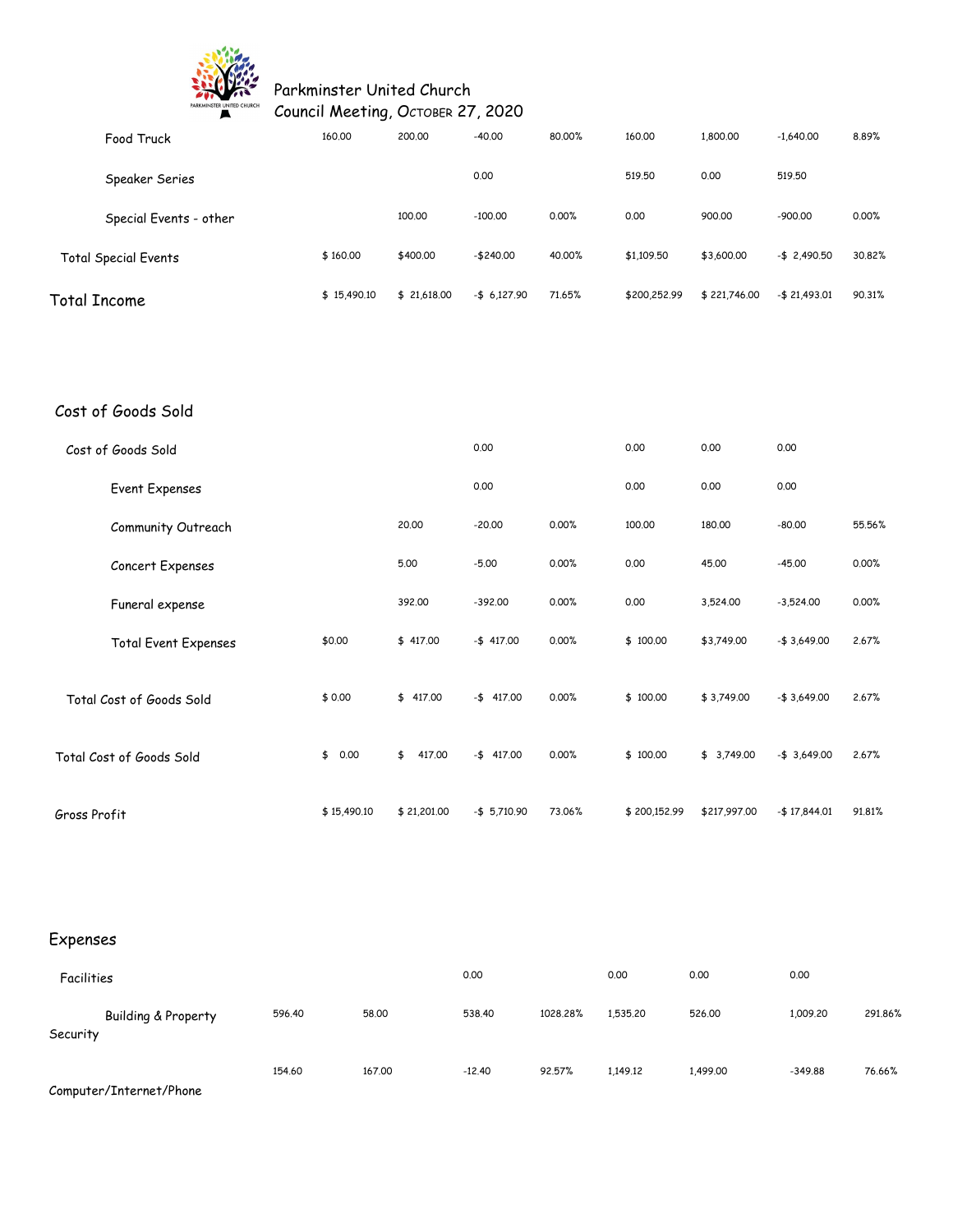

| Food Truck                  | 160.00      | 200.00      | $-40.00$        | 80.00% | 160.00       | 1.800.00     | $-1,640,00$   | 8.89%  |
|-----------------------------|-------------|-------------|-----------------|--------|--------------|--------------|---------------|--------|
| Speaker Series              |             |             | 0.00            |        | 519.50       | 0.00         | 519.50        |        |
| Special Events - other      |             | 100.00      | $-100.00$       | 0.00%  | 0.00         | 900.00       | $-900.00$     | 0.00%  |
| <b>Total Special Events</b> | \$160,00    | \$400.00    | $-$240.00$      | 40.00% | \$1,109.50   | \$3,600,00   | $-5$ 2,490.50 | 30.82% |
| <b>Total Income</b>         | \$15,490.10 | \$21,618,00 | $-$ \$ 6,127.90 | 71.65% | \$200,252.99 | \$221,746.00 | $-521,493,01$ | 90.31% |

## Cost of Goods Sold

| Cost of Goods Sold          |             |              | 0.00            |        | 0.00         | 0.00         | 0.00            |        |
|-----------------------------|-------------|--------------|-----------------|--------|--------------|--------------|-----------------|--------|
| <b>Event Expenses</b>       |             |              | 0.00            |        | 0.00         | 0.00         | 0.00            |        |
| Community Outreach          |             | 20,00        | $-20.00$        | 0.00%  | 100,00       | 180,00       | $-80.00$        | 55.56% |
| Concert Expenses            |             | 5.00         | $-5.00$         | 0.00%  | 0.00         | 45,00        | $-45.00$        | 0.00%  |
| Funeral expense             |             | 392,00       | $-392.00$       | 0.00%  | 0.00         | 3,524.00     | $-3,524.00$     | 0.00%  |
| <b>Total Event Expenses</b> | \$0.00      | \$417.00     | $-$ \$ 417.00   | 0.00%  | \$100.00     | \$3,749.00   | $-$ \$ 3,649.00 | 2.67%  |
| Total Cost of Goods Sold    | \$0.00      | \$417,00     | $-$$ 417.00     | 0.00%  | \$100.00     | \$3,749.00   | $-$ \$ 3,649.00 | 2.67%  |
| Total Cost of Goods Sold    | \$<br>0.00  | \$<br>417.00 | $-$$ 417.00     | 0.00%  | \$100.00     | \$3,749.00   | $-$ \$ 3,649.00 | 2.67%  |
| Gross Profit                | \$15,490.10 | \$21,201.00  | $-$ \$ 5,710.90 | 73.06% | \$200,152.99 | \$217,997.00 | $-$17,844.01$   | 91.81% |

## Expenses

| Facilities |                         |        | 0.00   |          | 0.00<br>0.00<br>0.00 |          |          |           |         |
|------------|-------------------------|--------|--------|----------|----------------------|----------|----------|-----------|---------|
| Security   | Building & Property     | 596.40 | 58,00  | 538,40   | 1028,28%             | 1,535,20 | 526,00   | 1,009.20  | 291.86% |
|            | Computer/Internet/Phone | 154.60 | 167.00 | $-12.40$ | 92.57%               | 1,149,12 | 1,499.00 | $-349.88$ | 76.66%  |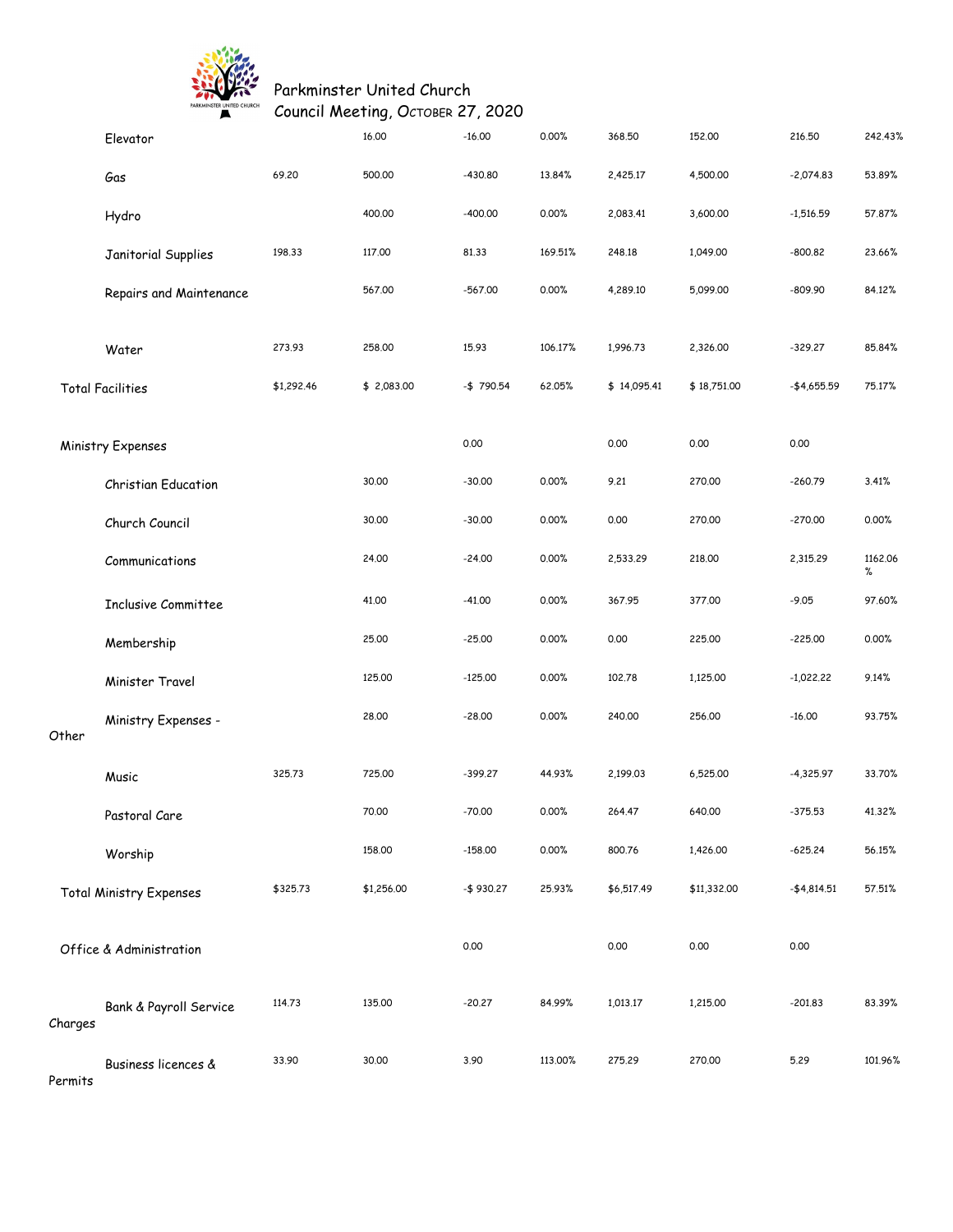

Council Meeting, OCTOBER 27, 2020

|         | Elevator                |            | 16.00      | $-16,00$  | 0.00%   | 368.50      | 152,00      | 216.50       | 242.43%      |
|---------|-------------------------|------------|------------|-----------|---------|-------------|-------------|--------------|--------------|
|         | Gas                     | 69.20      | 500,00     | -430.80   | 13.84%  | 2,425.17    | 4,500.00    | $-2,074.83$  | 53.89%       |
|         | Hydro                   |            | 400,00     | $-400.00$ | 0.00%   | 2,083.41    | 3,600.00    | $-1,516.59$  | 57.87%       |
|         | Janitorial Supplies     | 198.33     | 117.00     | 81.33     | 169.51% | 248.18      | 1,049.00    | $-800.82$    | 23.66%       |
|         | Repairs and Maintenance |            | 567.00     | -567.00   | 0.00%   | 4,289.10    | 5,099.00    | $-809.90$    | 84.12%       |
|         | Water                   | 273.93     | 258,00     | 15.93     | 106.17% | 1,996.73    | 2,326.00    | $-329.27$    | 85.84%       |
|         | <b>Total Facilities</b> | \$1,292.46 | \$2,083.00 | -\$790.54 | 62.05%  | \$14,095.41 | \$18,751.00 | $-$4,655.59$ | 75.17%       |
|         | Ministry Expenses       |            |            | 0.00      |         | 0.00        | 0.00        | 0.00         |              |
|         | Christian Education     |            | 30,00      | $-30.00$  | 0.00%   | 9.21        | 270,00      | $-260.79$    | 3.41%        |
|         | Church Council          |            | 30,00      | $-30.00$  | 0.00%   | 0.00        | 270,00      | $-270.00$    | 0.00%        |
|         | Communications          |            | 24,00      | $-24.00$  | 0.00%   | 2,533.29    | 218,00      | 2,315.29     | 1162.06<br>% |
|         | Inclusive Committee     |            | 41,00      | $-41,00$  | 0.00%   | 367.95      | 377,00      | $-9.05$      | 97.60%       |
|         | Membership              |            | 25,00      | $-25.00$  | 0.00%   | 0.00        | 225,00      | $-225.00$    | 0.00%        |
|         | Minister Travel         |            | 125.00     | $-125.00$ | 0.00%   | 102.78      | 1,125.00    | $-1,022.22$  | 9.14%        |
| Other   | Ministry Expenses -     |            | 28,00      | $-28.00$  | 0.00%   | 240,00      | 256,00      | $-16.00$     | 93.75%       |
|         | Music                   | 325.73     | 725,00     | -399.27   | 44.93%  | 2,199.03    | 6,525.00    | $-4,325.97$  | 33.70%       |
|         | Pastoral Care           |            | 70,00      | $-70.00$  | 0.00%   | 264.47      | 640.00      | $-375.53$    | 41.32%       |
|         | Worship                 |            | 158,00     | $-158.00$ | 0.00%   | 800.76      | 1,426.00    | $-625.24$    | 56.15%       |
|         | Total Ministry Expenses | \$325.73   | \$1,256.00 | -\$930.27 | 25.93%  | \$6,517.49  | \$11,332.00 | $-$4,814.51$ | 57.51%       |
|         | Office & Administration |            |            | 0.00      |         | 0.00        | 0.00        | 0.00         |              |
| Charges | Bank & Payroll Service  | 114.73     | 135.00     | $-20.27$  | 84.99%  | 1,013.17    | 1,215.00    | $-201.83$    | 83.39%       |
| Permits | Business licences &     | 33.90      | 30.00      | 3.90      | 113.00% | 275.29      | 270,00      | 5.29         | 101.96%      |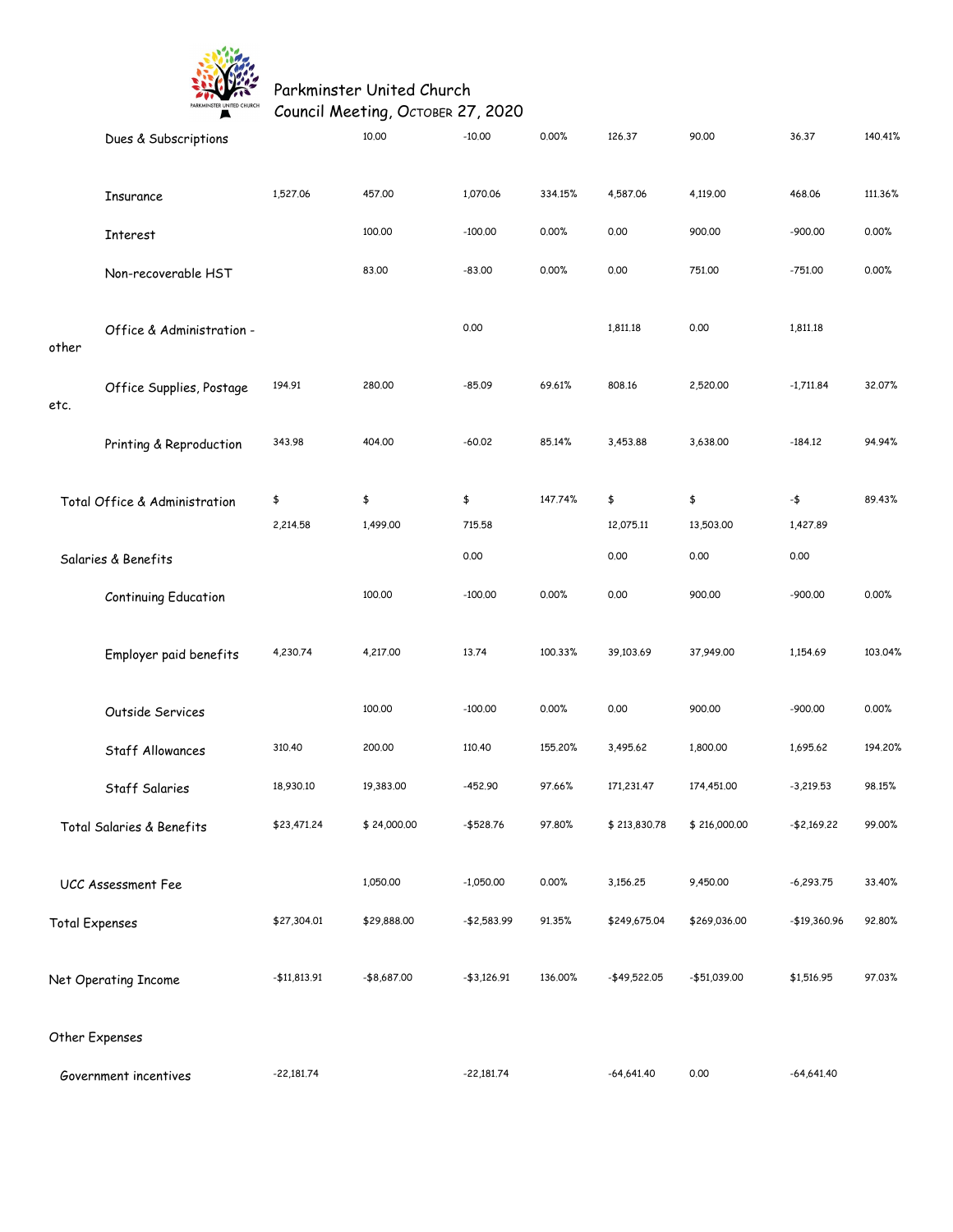

Council Meeting, OCTOBER 27, 2020

|                       | Dues & Subscriptions          |                | 10,00          | $-10,00$      | 0.00%   | 126.37          | 90.00           | 36.37           | 140.41% |
|-----------------------|-------------------------------|----------------|----------------|---------------|---------|-----------------|-----------------|-----------------|---------|
|                       | <b>Insurance</b>              | 1,527.06       | 457.00         | 1,070.06      | 334.15% | 4,587.06        | 4,119.00        | 468.06          | 111.36% |
|                       | Interest                      |                | 100.00         | $-100.00$     | 0.00%   | 0.00            | 900.00          | $-900.00$       | 0.00%   |
|                       | Non-recoverable HST           |                | 83,00          | $-83.00$      | 0.00%   | 0.00            | 751,00          | $-751.00$       | 0.00%   |
| other                 | Office & Administration -     |                |                | 0.00          |         | 1,811.18        | 0.00            | 1,811.18        |         |
| etc.                  | Office Supplies, Postage      | 194.91         | 280,00         | $-85.09$      | 69.61%  | 808.16          | 2,520.00        | $-1,711.84$     | 32.07%  |
|                       | Printing & Reproduction       | 343.98         | 404.00         | $-60.02$      | 85.14%  | 3,453.88        | 3,638.00        | $-184.12$       | 94.94%  |
|                       | Total Office & Administration | \$<br>2,214.58 | \$<br>1,499.00 | \$<br>715.58  | 147.74% | \$<br>12,075.11 | \$<br>13,503.00 | -\$<br>1,427.89 | 89.43%  |
|                       | Salaries & Benefits           |                |                | 0.00          |         | 0.00            | 0.00            | 0.00            |         |
|                       | <b>Continuing Education</b>   |                | 100.00         | $-100.00$     | 0.00%   | 0.00            | 900.00          | $-900.00$       | 0.00%   |
|                       | Employer paid benefits        | 4,230.74       | 4,217.00       | 13.74         | 100.33% | 39,103.69       | 37,949.00       | 1,154.69        | 103.04% |
|                       | Outside Services              |                | 100,00         | $-100.00$     | 0.00%   | 0.00            | 900.00          | $-900.00$       | 0.00%   |
|                       | Staff Allowances              | 310.40         | 200,00         | 110.40        | 155,20% | 3,495.62        | 1,800.00        | 1,695.62        | 194.20% |
|                       | Staff Salaries                | 18,930.10      | 19,383.00      | $-452.90$     | 97.66%  | 171,231.47      | 174,451.00      | $-3,219.53$     | 98.15%  |
|                       | Total Salaries & Benefits     | \$23,471.24    | \$24,000.00    | $- $528.76$   | 97.80%  | \$213,830.78    | \$216,000.00    | $-$2,169.22$    | 99.00%  |
|                       | UCC Assessment Fee            |                | 1,050.00       | $-1,050.00$   | 0.00%   | 3,156.25        | 9,450.00        | $-6,293.75$     | 33.40%  |
| <b>Total Expenses</b> |                               | \$27,304.01    | \$29,888.00    | $- $2,583.99$ | 91.35%  | \$249,675.04    | \$269,036.00    | $-$19,360.96$   | 92.80%  |
|                       | Net Operating Income          | $-$11,813.91$  | -\$8,687.00    | $- $3,126.91$ | 136.00% | -\$49,522.05    | $-$51,039.00$   | \$1,516.95      | 97.03%  |
| Other Expenses        |                               |                |                |               |         |                 |                 |                 |         |
|                       | Government incentives         | $-22,181.74$   |                | $-22,181.74$  |         | $-64,641.40$    | 0.00            | $-64,641.40$    |         |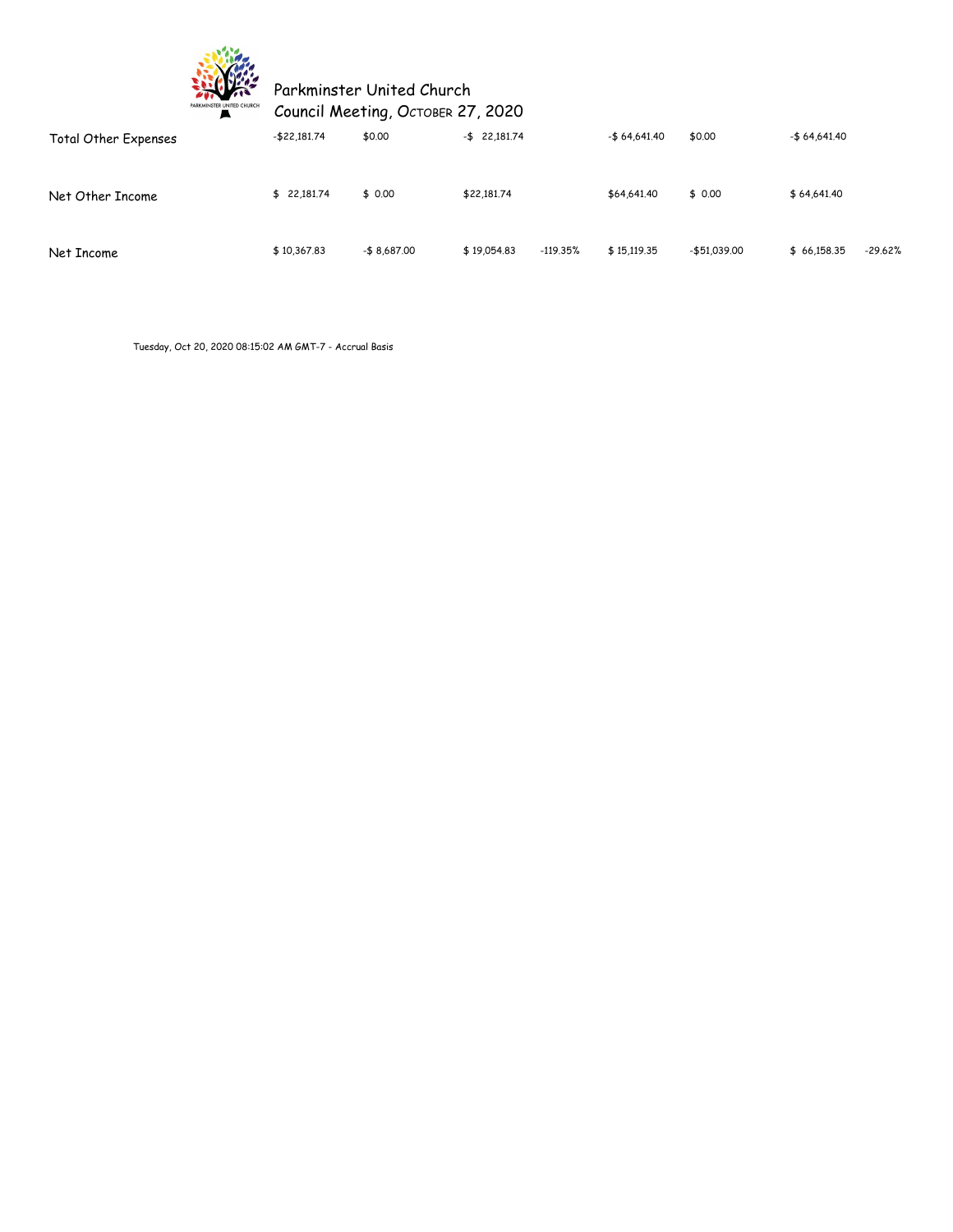

Council Meeting, OCTOBER 27, 2020

| Total Other Expenses | $-$22,181,74$ | \$0.00       | $-5$ 22,181,74            | $-564,641,40$ | \$0.00        | $-564.641.40$            |
|----------------------|---------------|--------------|---------------------------|---------------|---------------|--------------------------|
| Net Other Income     | \$22,181,74   | \$0.00       | \$22,181,74               | \$64,641,40   | \$0.00        | \$64,641.40              |
| Net Income           | \$10,367.83   | $-58,687,00$ | $-119.35%$<br>\$19,054.83 | \$15,119.35   | $-$51,039,00$ | \$66,158,35<br>$-29.62%$ |

Tuesday, Oct 20, 2020 08:15:02 AM GMT-7 - Accrual Basis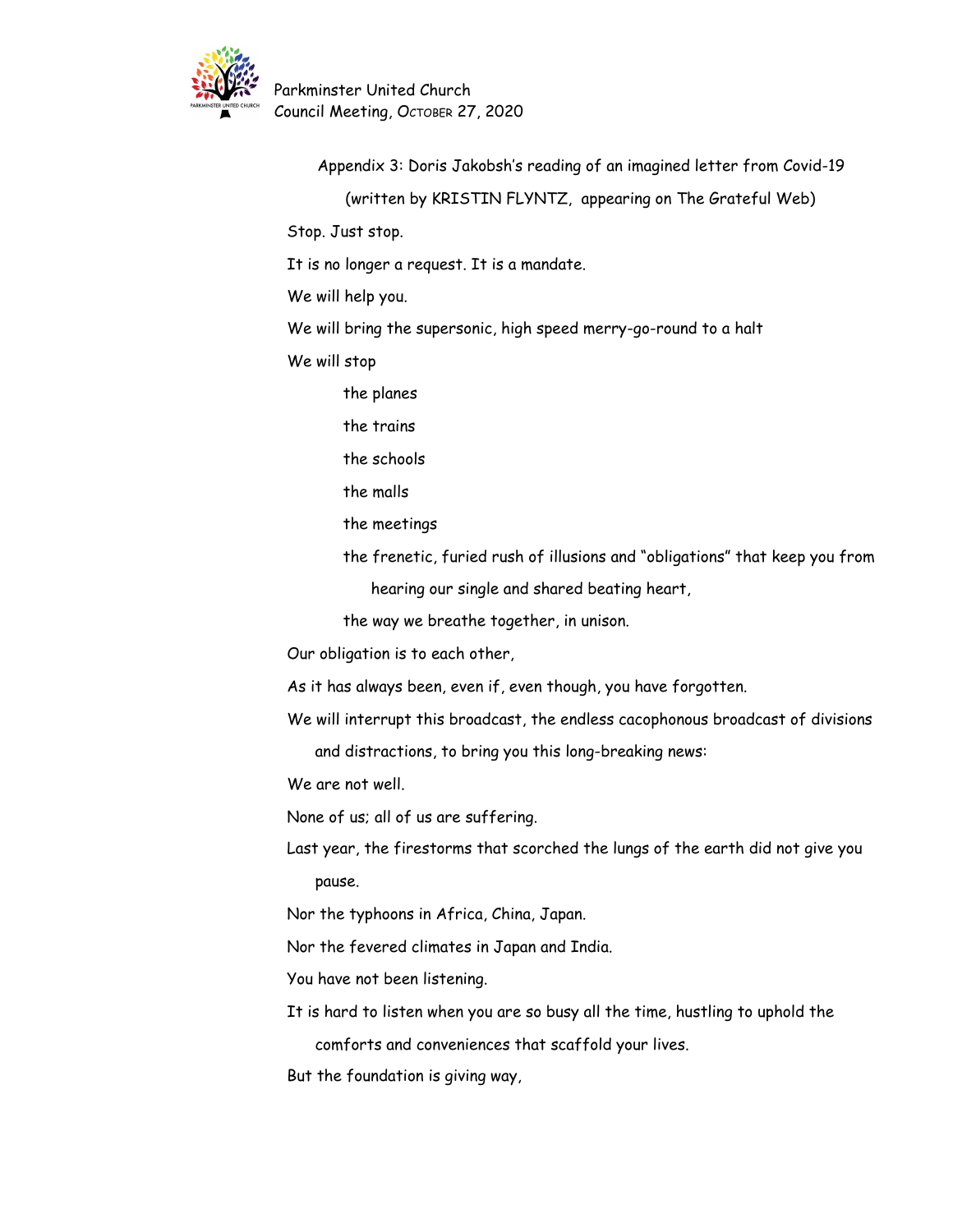

Appendix 3: Doris Jakobsh's reading of an imagined letter from Covid-19

(written by KRISTIN FLYNTZ, appearing on The Grateful Web)

Stop. Just stop.

It is no longer a request. It is a mandate.

We will help you.

We will bring the supersonic, high speed merry-go-round to a halt

We will stop

the planes

the trains

the schools

the malls

the meetings

the frenetic, furied rush of illusions and "obligations" that keep you from hearing our single and shared beating heart,

the way we breathe together, in unison.

Our obligation is to each other,

As it has always been, even if, even though, you have forgotten.

We will interrupt this broadcast, the endless cacophonous broadcast of divisions

and distractions, to bring you this long-breaking news:

We are not well.

None of us; all of us are suffering.

Last year, the firestorms that scorched the lungs of the earth did not give you pause.

Nor the typhoons in Africa, China, Japan.

Nor the fevered climates in Japan and India.

You have not been listening.

It is hard to listen when you are so busy all the time, hustling to uphold the comforts and conveniences that scaffold your lives.

But the foundation is giving way,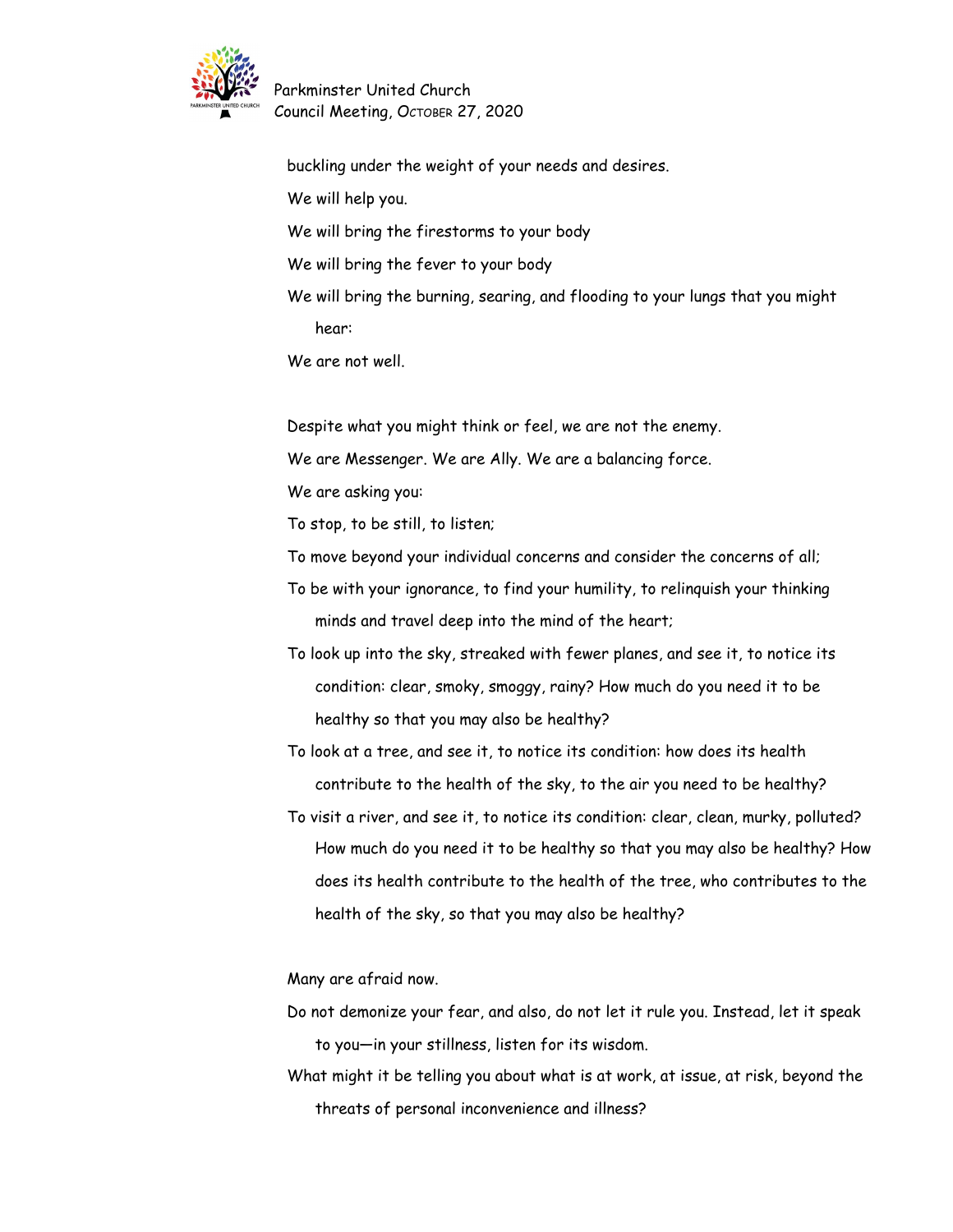

buckling under the weight of your needs and desires.

We will help you.

We will bring the firestorms to your body

We will bring the fever to your body

We will bring the burning, searing, and flooding to your lungs that you might hear:

We are not well.

Despite what you might think or feel, we are not the enemy.

We are Messenger. We are Ally. We are a balancing force.

We are asking you:

To stop, to be still, to listen;

To move beyond your individual concerns and consider the concerns of all;

- To be with your ignorance, to find your humility, to relinquish your thinking minds and travel deep into the mind of the heart;
- To look up into the sky, streaked with fewer planes, and see it, to notice its condition: clear, smoky, smoggy, rainy? How much do you need it to be healthy so that you may also be healthy?

To look at a tree, and see it, to notice its condition: how does its health contribute to the health of the sky, to the air you need to be healthy?

To visit a river, and see it, to notice its condition: clear, clean, murky, polluted? How much do you need it to be healthy so that you may also be healthy? How does its health contribute to the health of the tree, who contributes to the health of the sky, so that you may also be healthy?

Many are afraid now.

- Do not demonize your fear, and also, do not let it rule you. Instead, let it speak to you—in your stillness, listen for its wisdom.
- What might it be telling you about what is at work, at issue, at risk, beyond the threats of personal inconvenience and illness?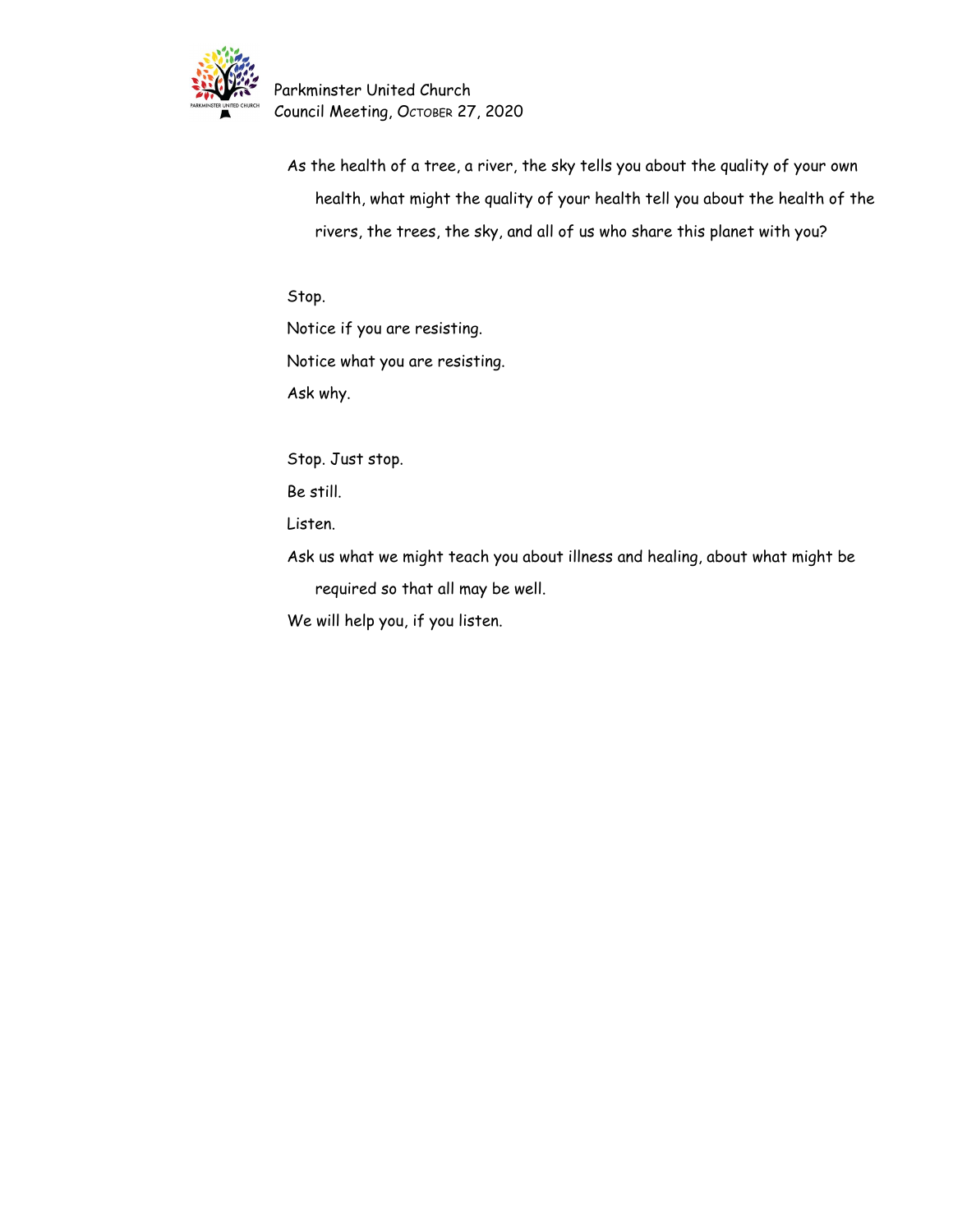

As the health of a tree, a river, the sky tells you about the quality of your own health, what might the quality of your health tell you about the health of the rivers, the trees, the sky, and all of us who share this planet with you?

Stop.

Notice if you are resisting.

Notice what you are resisting.

Ask why.

Stop. Just stop.

Be still.

Listen.

Ask us what we might teach you about illness and healing, about what might be required so that all may be well.

We will help you, if you listen.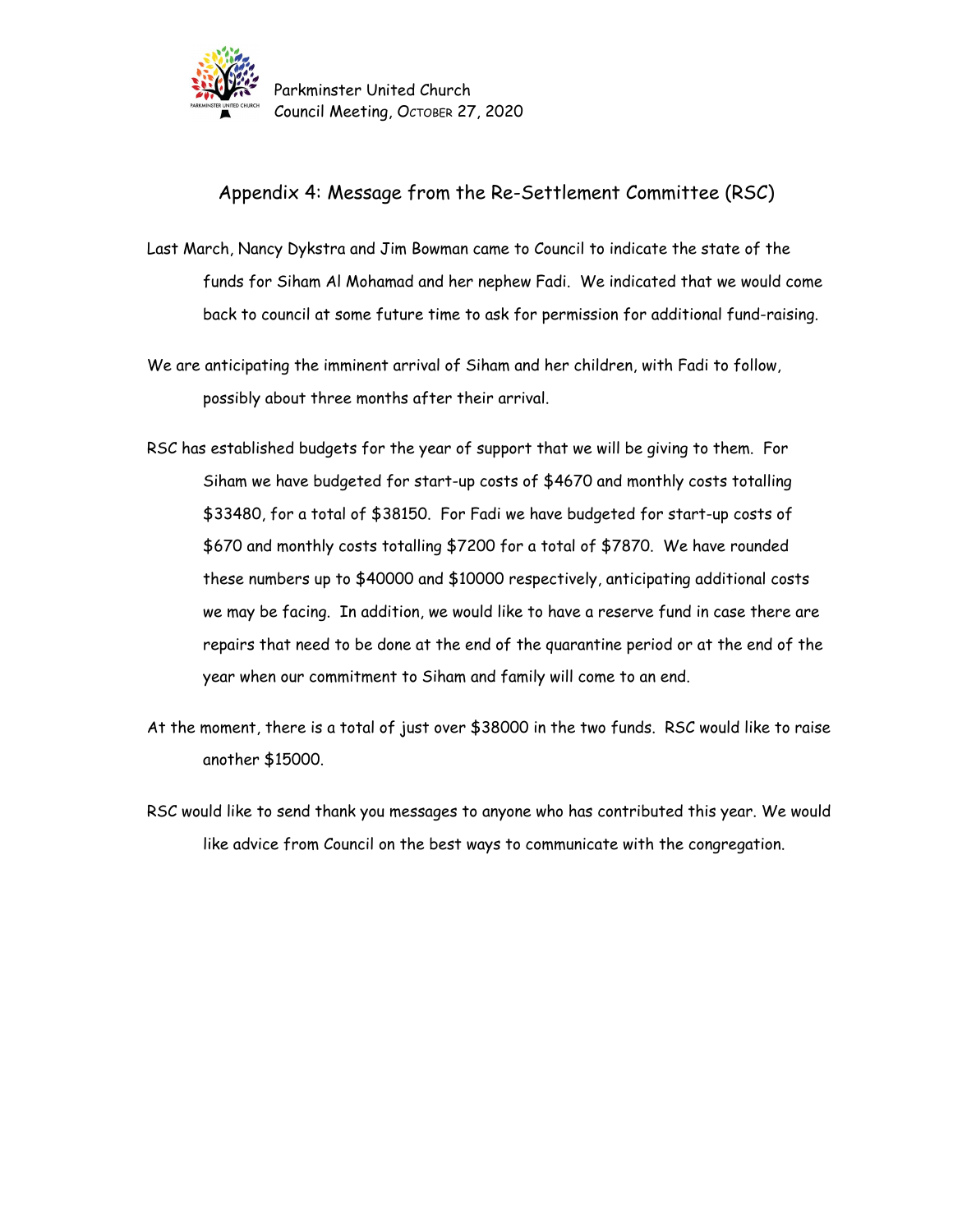

## Appendix 4: Message from the Re-Settlement Committee (RSC)

- Last March, Nancy Dykstra and Jim Bowman came to Council to indicate the state of the funds for Siham Al Mohamad and her nephew Fadi. We indicated that we would come back to council at some future time to ask for permission for additional fund-raising.
- We are anticipating the imminent arrival of Siham and her children, with Fadi to follow, possibly about three months after their arrival.
- RSC has established budgets for the year of support that we will be giving to them. For Siham we have budgeted for start-up costs of \$4670 and monthly costs totalling \$33480, for a total of \$38150. For Fadi we have budgeted for start-up costs of \$670 and monthly costs totalling \$7200 for a total of \$7870. We have rounded these numbers up to \$40000 and \$10000 respectively, anticipating additional costs we may be facing. In addition, we would like to have a reserve fund in case there are repairs that need to be done at the end of the quarantine period or at the end of the year when our commitment to Siham and family will come to an end.
- At the moment, there is a total of just over \$38000 in the two funds. RSC would like to raise another \$15000.
- RSC would like to send thank you messages to anyone who has contributed this year. We would like advice from Council on the best ways to communicate with the congregation.